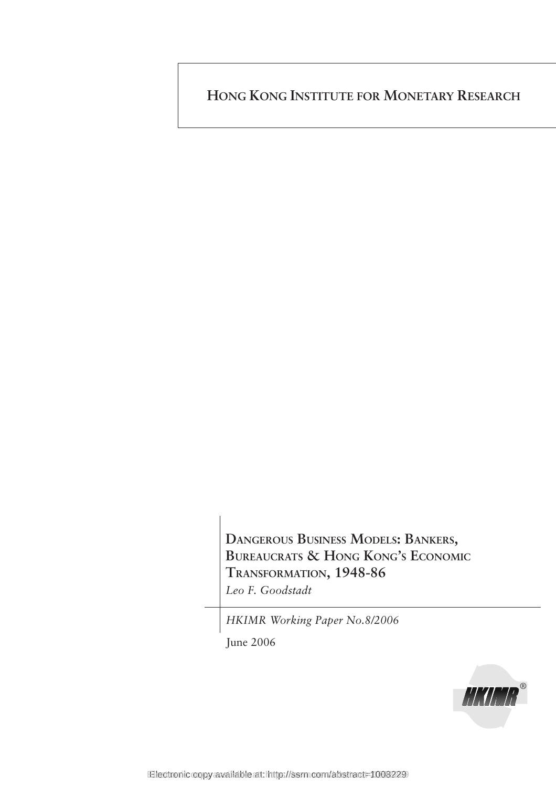**HONG KONG INSTITUTE FOR MONETARY RESEARCH**

**DANGEROUS BUSINESS MODELS: BANKERS, BUREAUCRATS & HONG KONG'S ECONOMIC TRANSFORMATION, 1948-86** *Leo F. Goodstadt*

*HKIMR Working Paper No.8/2006*

June 2006

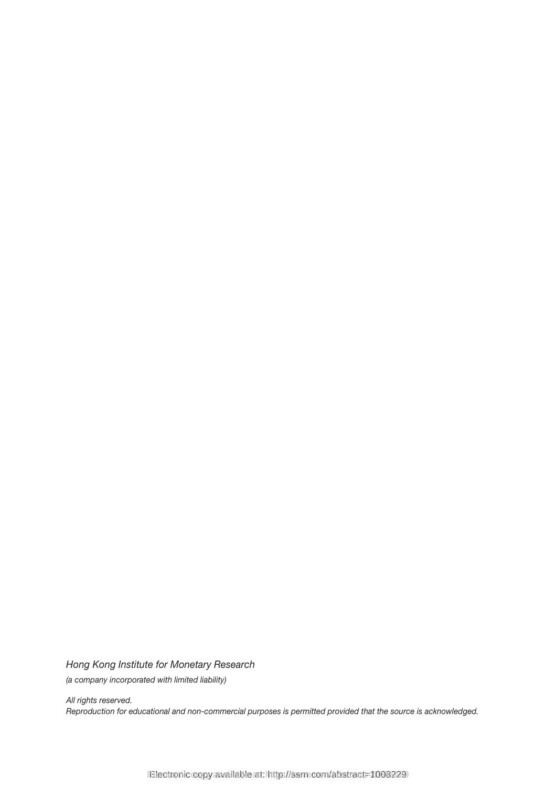*Hong Kong Institute for Monetary Research (a company incorporated with limited liability)*

*All rights reserved. Reproduction for educational and non-commercial purposes is permitted provided that the source is acknowledged.*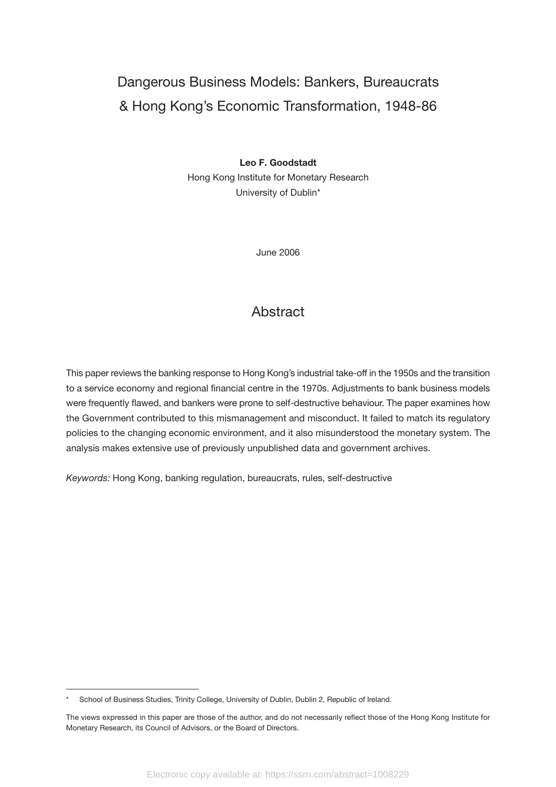# Dangerous Business Models: Bankers, Bureaucrats & Hong Kong's Economic Transformation, 1948-86

#### **Leo F. Goodstadt**

Hong Kong Institute for Monetary Research University of Dublin\*

June 2006

#### **Abstract**

This paper reviews the banking response to Hong Kong's industrial take-off in the 1950s and the transition to a service economy and regional financial centre in the 1970s. Adjustments to bank business models were frequently flawed, and bankers were prone to self-destructive behaviour. The paper examines how the Government contributed to this mismanagement and misconduct. It failed to match its regulatory policies to the changing economic environment, and it also misunderstood the monetary system. The analysis makes extensive use of previously unpublished data and government archives.

*Keywords:* Hong Kong, banking regulation, bureaucrats, rules, self-destructive

School of Business Studies, Trinity College, University of Dublin, Dublin 2, Republic of Ireland.

The views expressed in this paper are those of the author, and do not necessarily reflect those of the Hong Kong Institute for Monetary Research, its Council of Advisors, or the Board of Directors.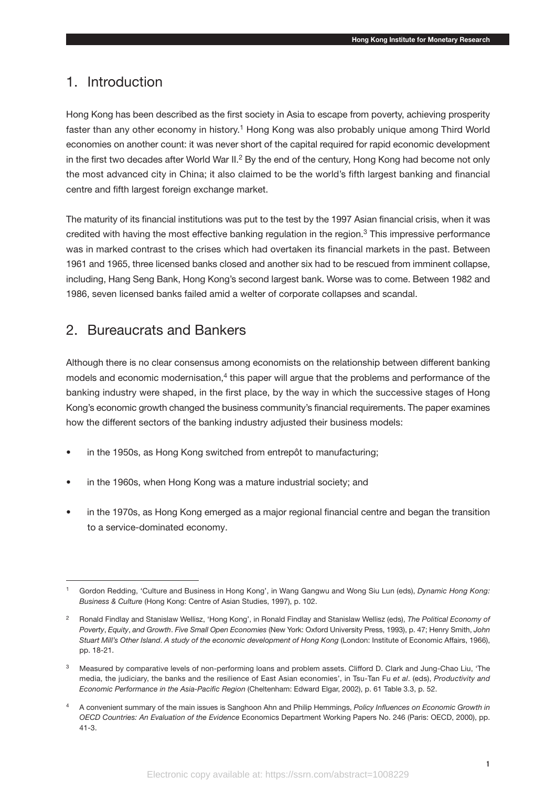#### 1. Introduction

Hong Kong has been described as the first society in Asia to escape from poverty, achieving prosperity faster than any other economy in history.<sup>1</sup> Hong Kong was also probably unique among Third World economies on another count: it was never short of the capital required for rapid economic development in the first two decades after World War II.<sup>2</sup> By the end of the century, Hong Kong had become not only the most advanced city in China; it also claimed to be the world's fifth largest banking and financial centre and fifth largest foreign exchange market.

The maturity of its financial institutions was put to the test by the 1997 Asian financial crisis, when it was credited with having the most effective banking regulation in the region.3 This impressive performance was in marked contrast to the crises which had overtaken its financial markets in the past. Between 1961 and 1965, three licensed banks closed and another six had to be rescued from imminent collapse, including, Hang Seng Bank, Hong Kong's second largest bank. Worse was to come. Between 1982 and 1986, seven licensed banks failed amid a welter of corporate collapses and scandal.

#### 2. Bureaucrats and Bankers

Although there is no clear consensus among economists on the relationship between different banking models and economic modernisation, $4$  this paper will argue that the problems and performance of the banking industry were shaped, in the first place, by the way in which the successive stages of Hong Kong's economic growth changed the business community's financial requirements. The paper examines how the different sectors of the banking industry adjusted their business models:

- in the 1950s, as Hong Kong switched from entrepôt to manufacturing;
- in the 1960s, when Hong Kong was a mature industrial society; and
- in the 1970s, as Hong Kong emerged as a major regional financial centre and began the transition to a service-dominated economy.

<sup>1</sup> Gordon Redding, 'Culture and Business in Hong Kong', in Wang Gangwu and Wong Siu Lun (eds), *Dynamic Hong Kong: Business & Culture* (Hong Kong: Centre of Asian Studies, 1997), p. 102.

<sup>2</sup> Ronald Findlay and Stanislaw Wellisz, 'Hong Kong', in Ronald Findlay and Stanislaw Wellisz (eds), *The Political Economy of Poverty*, *Equity*, *and Growth*. *Five Small Open Economies* (New York: Oxford University Press, 1993), p. 47; Henry Smith, *John Stuart Mill's Other Island*. *A study of the economic development of Hong Kong* (London: Institute of Economic Affairs, 1966), pp. 18-21.

Measured by comparative levels of non-performing loans and problem assets. Clifford D. Clark and Jung-Chao Liu, 'The media, the judiciary, the banks and the resilience of East Asian economies', in Tsu-Tan Fu *et al*. (eds), *Productivity and Economic Performance in the Asia-Pacific Region* (Cheltenham: Edward Elgar, 2002), p. 61 Table 3.3, p. 52.

<sup>4</sup> A convenient summary of the main issues is Sanghoon Ahn and Philip Hemmings, *Policy Influences on Economic Growth in OECD Countries: An Evaluation of the Evidence* Economics Department Working Papers No. 246 (Paris: OECD, 2000), pp. 41-3.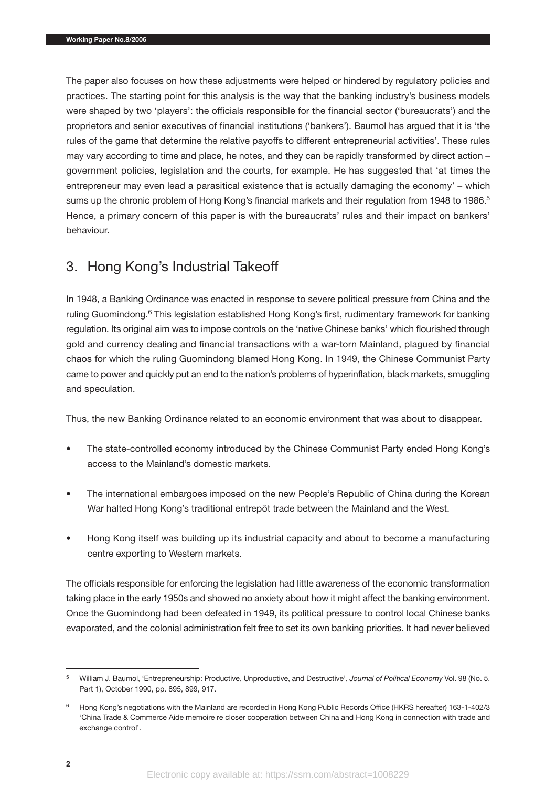The paper also focuses on how these adjustments were helped or hindered by regulatory policies and practices. The starting point for this analysis is the way that the banking industry's business models were shaped by two 'players': the officials responsible for the financial sector ('bureaucrats') and the proprietors and senior executives of financial institutions ('bankers'). Baumol has argued that it is 'the rules of the game that determine the relative payoffs to different entrepreneurial activities'. These rules may vary according to time and place, he notes, and they can be rapidly transformed by direct action – government policies, legislation and the courts, for example. He has suggested that 'at times the entrepreneur may even lead a parasitical existence that is actually damaging the economy' – which sums up the chronic problem of Hong Kong's financial markets and their regulation from 1948 to 1986.<sup>5</sup> Hence, a primary concern of this paper is with the bureaucrats' rules and their impact on bankers' behaviour.

# 3. Hong Kong's Industrial Takeoff

In 1948, a Banking Ordinance was enacted in response to severe political pressure from China and the ruling Guomindong.<sup>6</sup> This legislation established Hong Kong's first, rudimentary framework for banking regulation. Its original aim was to impose controls on the 'native Chinese banks' which flourished through gold and currency dealing and financial transactions with a war-torn Mainland, plagued by financial chaos for which the ruling Guomindong blamed Hong Kong. In 1949, the Chinese Communist Party came to power and quickly put an end to the nation's problems of hyperinflation, black markets, smuggling and speculation.

Thus, the new Banking Ordinance related to an economic environment that was about to disappear.

- The state-controlled economy introduced by the Chinese Communist Party ended Hong Kong's access to the Mainland's domestic markets.
- The international embargoes imposed on the new People's Republic of China during the Korean War halted Hong Kong's traditional entrepôt trade between the Mainland and the West.
- Hong Kong itself was building up its industrial capacity and about to become a manufacturing centre exporting to Western markets.

The officials responsible for enforcing the legislation had little awareness of the economic transformation taking place in the early 1950s and showed no anxiety about how it might affect the banking environment. Once the Guomindong had been defeated in 1949, its political pressure to control local Chinese banks evaporated, and the colonial administration felt free to set its own banking priorities. It had never believed

<sup>5</sup> William J. Baumol, 'Entrepreneurship: Productive, Unproductive, and Destructive', *Journal of Political Economy* Vol. 98 (No. 5, Part 1), October 1990, pp. 895, 899, 917.

<sup>6</sup> Hong Kong's negotiations with the Mainland are recorded in Hong Kong Public Records Office (HKRS hereafter) 163-1-402/3 'China Trade & Commerce Aide memoire re closer cooperation between China and Hong Kong in connection with trade and exchange control'.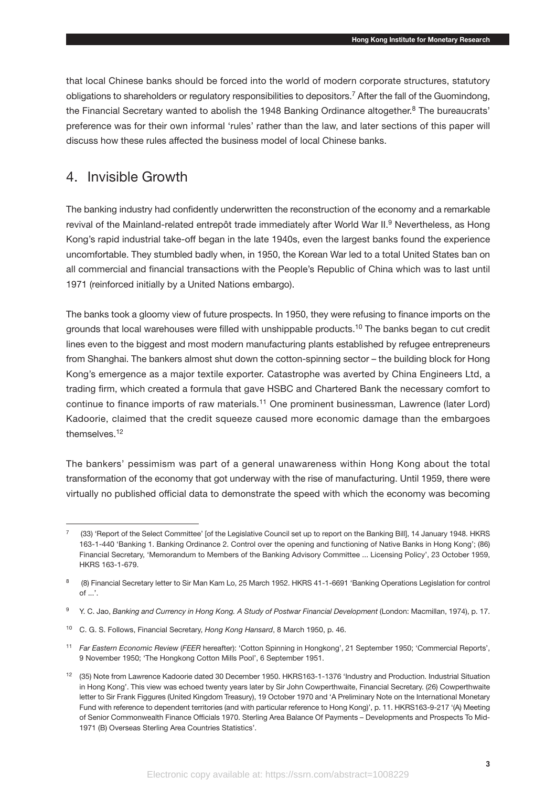that local Chinese banks should be forced into the world of modern corporate structures, statutory obligations to shareholders or regulatory responsibilities to depositors.<sup>7</sup> After the fall of the Guomindong, the Financial Secretary wanted to abolish the 1948 Banking Ordinance altogether.<sup>8</sup> The bureaucrats' preference was for their own informal 'rules' rather than the law, and later sections of this paper will discuss how these rules affected the business model of local Chinese banks.

#### 4. Invisible Growth

The banking industry had confidently underwritten the reconstruction of the economy and a remarkable revival of the Mainland-related entrepôt trade immediately after World War II.<sup>9</sup> Nevertheless, as Hong Kong's rapid industrial take-off began in the late 1940s, even the largest banks found the experience uncomfortable. They stumbled badly when, in 1950, the Korean War led to a total United States ban on all commercial and financial transactions with the People's Republic of China which was to last until 1971 (reinforced initially by a United Nations embargo).

The banks took a gloomy view of future prospects. In 1950, they were refusing to finance imports on the grounds that local warehouses were filled with unshippable products.10 The banks began to cut credit lines even to the biggest and most modern manufacturing plants established by refugee entrepreneurs from Shanghai. The bankers almost shut down the cotton-spinning sector – the building block for Hong Kong's emergence as a major textile exporter. Catastrophe was averted by China Engineers Ltd, a trading firm, which created a formula that gave HSBC and Chartered Bank the necessary comfort to continue to finance imports of raw materials.11 One prominent businessman, Lawrence (later Lord) Kadoorie, claimed that the credit squeeze caused more economic damage than the embargoes themselves.12

The bankers' pessimism was part of a general unawareness within Hong Kong about the total transformation of the economy that got underway with the rise of manufacturing. Until 1959, there were virtually no published official data to demonstrate the speed with which the economy was becoming

<sup>7 (33) &#</sup>x27;Report of the Select Committee' [of the Legislative Council set up to report on the Banking Bill], 14 January 1948. HKRS 163-1-440 'Banking 1. Banking Ordinance 2. Control over the opening and functioning of Native Banks in Hong Kong'; (86) Financial Secretary, 'Memorandum to Members of the Banking Advisory Committee ... Licensing Policy', 23 October 1959, HKRS 163-1-679.

<sup>8 (8)</sup> Financial Secretary letter to Sir Man Kam Lo, 25 March 1952. HKRS 41-1-6691 'Banking Operations Legislation for control of ...'.

<sup>9</sup> Y. C. Jao, *Banking and Currency in Hong Kong. A Study of Postwar Financial Development* (London: Macmillan, 1974), p. 17.

<sup>10</sup> C. G. S. Follows, Financial Secretary, *Hong Kong Hansard*, 8 March 1950, p. 46.

<sup>11</sup> *Far Eastern Economic Review* (*FEER* hereafter): 'Cotton Spinning in Hongkong', 21 September 1950; 'Commercial Reports', 9 November 1950; 'The Hongkong Cotton Mills Pool', 6 September 1951.

<sup>12</sup> (35) Note from Lawrence Kadoorie dated 30 December 1950. HKRS163-1-1376 'Industry and Production. Industrial Situation in Hong Kong'. This view was echoed twenty years later by Sir John Cowperthwaite, Financial Secretary. (26) Cowperthwaite letter to Sir Frank Figgures (United Kingdom Treasury), 19 October 1970 and 'A Preliminary Note on the International Monetary Fund with reference to dependent territories (and with particular reference to Hong Kong)', p. 11. HKRS163-9-217 '(A) Meeting of Senior Commonwealth Finance Officials 1970. Sterling Area Balance Of Payments – Developments and Prospects To Mid-1971 (B) Overseas Sterling Area Countries Statistics'.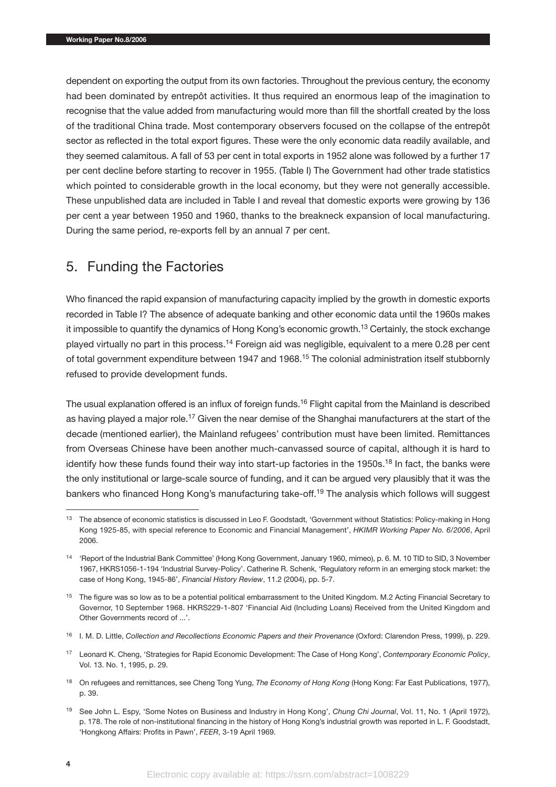dependent on exporting the output from its own factories. Throughout the previous century, the economy had been dominated by entrepôt activities. It thus required an enormous leap of the imagination to recognise that the value added from manufacturing would more than fill the shortfall created by the loss of the traditional China trade. Most contemporary observers focused on the collapse of the entrepôt sector as reflected in the total export figures. These were the only economic data readily available, and they seemed calamitous. A fall of 53 per cent in total exports in 1952 alone was followed by a further 17 per cent decline before starting to recover in 1955. (Table I) The Government had other trade statistics which pointed to considerable growth in the local economy, but they were not generally accessible. These unpublished data are included in Table I and reveal that domestic exports were growing by 136 per cent a year between 1950 and 1960, thanks to the breakneck expansion of local manufacturing. During the same period, re-exports fell by an annual 7 per cent.

## 5. Funding the Factories

Who financed the rapid expansion of manufacturing capacity implied by the growth in domestic exports recorded in Table I? The absence of adequate banking and other economic data until the 1960s makes it impossible to quantify the dynamics of Hong Kong's economic growth.<sup>13</sup> Certainly, the stock exchange played virtually no part in this process.<sup>14</sup> Foreign aid was negligible, equivalent to a mere 0.28 per cent of total government expenditure between 1947 and 1968.15 The colonial administration itself stubbornly refused to provide development funds.

The usual explanation offered is an influx of foreign funds.<sup>16</sup> Flight capital from the Mainland is described as having played a major role.<sup>17</sup> Given the near demise of the Shanghai manufacturers at the start of the decade (mentioned earlier), the Mainland refugees' contribution must have been limited. Remittances from Overseas Chinese have been another much-canvassed source of capital, although it is hard to identify how these funds found their way into start-up factories in the 1950s.<sup>18</sup> In fact, the banks were the only institutional or large-scale source of funding, and it can be argued very plausibly that it was the bankers who financed Hong Kong's manufacturing take-off.19 The analysis which follows will suggest

<sup>&</sup>lt;sup>13</sup> The absence of economic statistics is discussed in Leo F. Goodstadt, 'Government without Statistics: Policy-making in Hong Kong 1925-85, with special reference to Economic and Financial Management', *HKIMR Working Paper No. 6/2006*, April 2006.

<sup>14</sup> 'Report of the Industrial Bank Committee' (Hong Kong Government, January 1960, mimeo), p. 6. M. 10 TID to SID, 3 November 1967, HKRS1056-1-194 'Industrial Survey-Policy'. Catherine R. Schenk, 'Regulatory reform in an emerging stock market: the case of Hong Kong, 1945-86', *Financial History Review*, 11.2 (2004), pp. 5-7.

<sup>&</sup>lt;sup>15</sup> The figure was so low as to be a potential political embarrassment to the United Kingdom. M.2 Acting Financial Secretary to Governor, 10 September 1968. HKRS229-1-807 'Financial Aid (Including Loans) Received from the United Kingdom and Other Governments record of ...'.

<sup>16</sup> I. M. D. Little, *Collection and Recollections Economic Papers and their Provenance* (Oxford: Clarendon Press, 1999), p. 229.

<sup>17</sup> Leonard K. Cheng, 'Strategies for Rapid Economic Development: The Case of Hong Kong', *Contemporary Economic Policy*, Vol. 13. No. 1, 1995, p. 29.

<sup>18</sup> On refugees and remittances, see Cheng Tong Yung, *The Economy of Hong Kong* (Hong Kong: Far East Publications, 1977), p. 39.

<sup>19</sup> See John L. Espy, 'Some Notes on Business and Industry in Hong Kong', *Chung Chi Journal*, Vol. 11, No. 1 (April 1972), p. 178. The role of non-institutional financing in the history of Hong Kong's industrial growth was reported in L. F. Goodstadt, 'Hongkong Affairs: Profits in Pawn', *FEER*, 3-19 April 1969.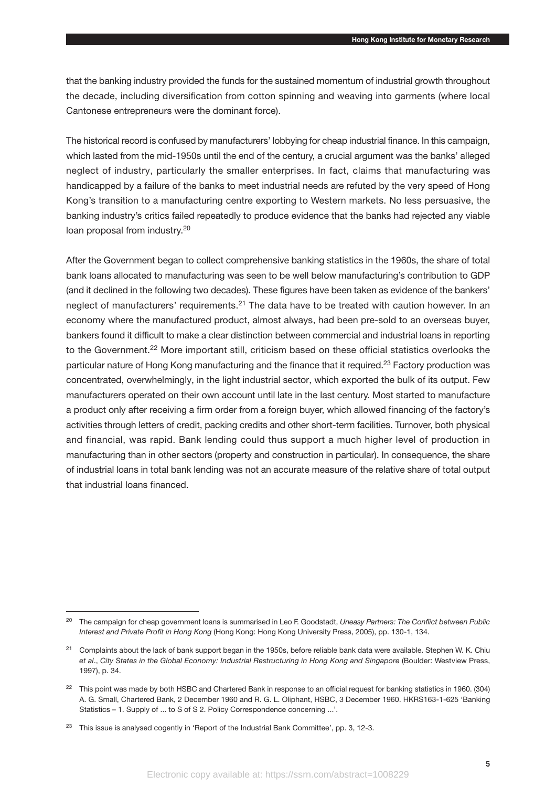that the banking industry provided the funds for the sustained momentum of industrial growth throughout the decade, including diversification from cotton spinning and weaving into garments (where local Cantonese entrepreneurs were the dominant force).

The historical record is confused by manufacturers' lobbying for cheap industrial finance. In this campaign, which lasted from the mid-1950s until the end of the century, a crucial argument was the banks' alleged neglect of industry, particularly the smaller enterprises. In fact, claims that manufacturing was handicapped by a failure of the banks to meet industrial needs are refuted by the very speed of Hong Kong's transition to a manufacturing centre exporting to Western markets. No less persuasive, the banking industry's critics failed repeatedly to produce evidence that the banks had rejected any viable loan proposal from industry.<sup>20</sup>

After the Government began to collect comprehensive banking statistics in the 1960s, the share of total bank loans allocated to manufacturing was seen to be well below manufacturing's contribution to GDP (and it declined in the following two decades). These figures have been taken as evidence of the bankers' neglect of manufacturers' requirements.<sup>21</sup> The data have to be treated with caution however. In an economy where the manufactured product, almost always, had been pre-sold to an overseas buyer, bankers found it difficult to make a clear distinction between commercial and industrial loans in reporting to the Government.22 More important still, criticism based on these official statistics overlooks the particular nature of Hong Kong manufacturing and the finance that it required.23 Factory production was concentrated, overwhelmingly, in the light industrial sector, which exported the bulk of its output. Few manufacturers operated on their own account until late in the last century. Most started to manufacture a product only after receiving a firm order from a foreign buyer, which allowed financing of the factory's activities through letters of credit, packing credits and other short-term facilities. Turnover, both physical and financial, was rapid. Bank lending could thus support a much higher level of production in manufacturing than in other sectors (property and construction in particular). In consequence, the share of industrial loans in total bank lending was not an accurate measure of the relative share of total output that industrial loans financed.

<sup>20</sup> The campaign for cheap government loans is summarised in Leo F. Goodstadt, *Uneasy Partners: The Conflict between Public Interest and Private Profit in Hong Kong* (Hong Kong: Hong Kong University Press, 2005), pp. 130-1, 134.

<sup>&</sup>lt;sup>21</sup> Complaints about the lack of bank support began in the 1950s, before reliable bank data were available. Stephen W. K. Chiu *et al*., *City States in the Global Economy: Industrial Restructuring in Hong Kong and Singapore* (Boulder: Westview Press, 1997), p. 34.

<sup>&</sup>lt;sup>22</sup> This point was made by both HSBC and Chartered Bank in response to an official request for banking statistics in 1960. (304) A. G. Small, Chartered Bank, 2 December 1960 and R. G. L. Oliphant, HSBC, 3 December 1960. HKRS163-1-625 'Banking Statistics – 1. Supply of ... to S of S 2. Policy Correspondence concerning ...'.

<sup>&</sup>lt;sup>23</sup> This issue is analysed cogently in 'Report of the Industrial Bank Committee', pp. 3, 12-3.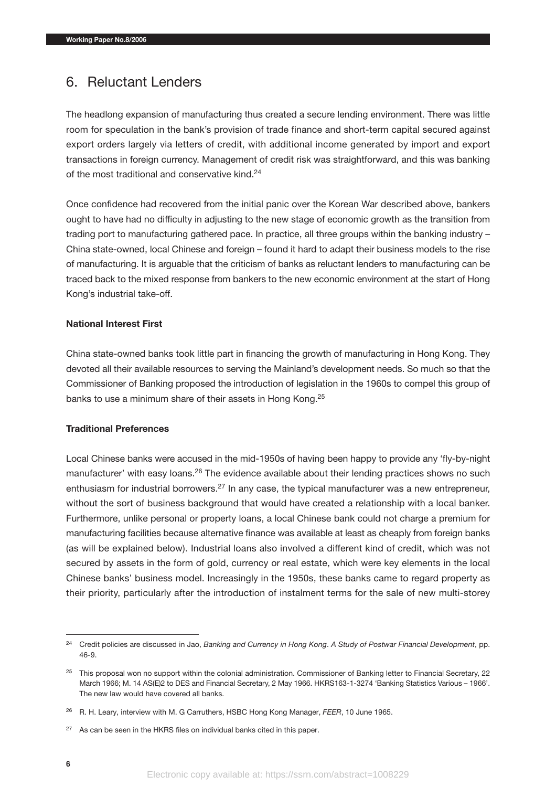#### 6. Reluctant Lenders

The headlong expansion of manufacturing thus created a secure lending environment. There was little room for speculation in the bank's provision of trade finance and short-term capital secured against export orders largely via letters of credit, with additional income generated by import and export transactions in foreign currency. Management of credit risk was straightforward, and this was banking of the most traditional and conservative kind.<sup>24</sup>

Once confidence had recovered from the initial panic over the Korean War described above, bankers ought to have had no difficulty in adjusting to the new stage of economic growth as the transition from trading port to manufacturing gathered pace. In practice, all three groups within the banking industry – China state-owned, local Chinese and foreign – found it hard to adapt their business models to the rise of manufacturing. It is arguable that the criticism of banks as reluctant lenders to manufacturing can be traced back to the mixed response from bankers to the new economic environment at the start of Hong Kong's industrial take-off.

#### **National Interest First**

China state-owned banks took little part in financing the growth of manufacturing in Hong Kong. They devoted all their available resources to serving the Mainland's development needs. So much so that the Commissioner of Banking proposed the introduction of legislation in the 1960s to compel this group of banks to use a minimum share of their assets in Hong Kong.25

#### **Traditional Preferences**

Local Chinese banks were accused in the mid-1950s of having been happy to provide any 'fly-by-night manufacturer' with easy loans.<sup>26</sup> The evidence available about their lending practices shows no such enthusiasm for industrial borrowers.<sup>27</sup> In any case, the typical manufacturer was a new entrepreneur, without the sort of business background that would have created a relationship with a local banker. Furthermore, unlike personal or property loans, a local Chinese bank could not charge a premium for manufacturing facilities because alternative finance was available at least as cheaply from foreign banks (as will be explained below). Industrial loans also involved a different kind of credit, which was not secured by assets in the form of gold, currency or real estate, which were key elements in the local Chinese banks' business model. Increasingly in the 1950s, these banks came to regard property as their priority, particularly after the introduction of instalment terms for the sale of new multi-storey

<sup>24</sup> Credit policies are discussed in Jao, *Banking and Currency in Hong Kong*. *A Study of Postwar Financial Development*, pp. 46-9.

<sup>&</sup>lt;sup>25</sup> This proposal won no support within the colonial administration. Commissioner of Banking letter to Financial Secretary, 22 March 1966; M. 14 AS(E)2 to DES and Financial Secretary, 2 May 1966. HKRS163-1-3274 'Banking Statistics Various – 1966'. The new law would have covered all banks.

<sup>26</sup> R. H. Leary, interview with M. G Carruthers, HSBC Hong Kong Manager, *FEER*, 10 June 1965.

 $27$  As can be seen in the HKRS files on individual banks cited in this paper.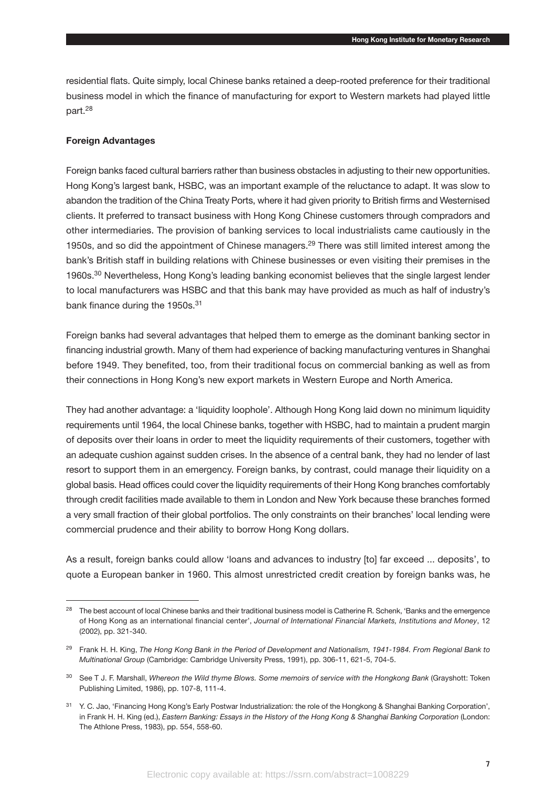residential flats. Quite simply, local Chinese banks retained a deep-rooted preference for their traditional business model in which the finance of manufacturing for export to Western markets had played little part.28

#### **Foreign Advantages**

Foreign banks faced cultural barriers rather than business obstacles in adjusting to their new opportunities. Hong Kong's largest bank, HSBC, was an important example of the reluctance to adapt. It was slow to abandon the tradition of the China Treaty Ports, where it had given priority to British firms and Westernised clients. It preferred to transact business with Hong Kong Chinese customers through compradors and other intermediaries. The provision of banking services to local industrialists came cautiously in the 1950s, and so did the appointment of Chinese managers.<sup>29</sup> There was still limited interest among the bank's British staff in building relations with Chinese businesses or even visiting their premises in the 1960s.<sup>30</sup> Nevertheless, Hong Kong's leading banking economist believes that the single largest lender to local manufacturers was HSBC and that this bank may have provided as much as half of industry's bank finance during the 1950s.<sup>31</sup>

Foreign banks had several advantages that helped them to emerge as the dominant banking sector in financing industrial growth. Many of them had experience of backing manufacturing ventures in Shanghai before 1949. They benefited, too, from their traditional focus on commercial banking as well as from their connections in Hong Kong's new export markets in Western Europe and North America.

They had another advantage: a 'liquidity loophole'. Although Hong Kong laid down no minimum liquidity requirements until 1964, the local Chinese banks, together with HSBC, had to maintain a prudent margin of deposits over their loans in order to meet the liquidity requirements of their customers, together with an adequate cushion against sudden crises. In the absence of a central bank, they had no lender of last resort to support them in an emergency. Foreign banks, by contrast, could manage their liquidity on a global basis. Head offices could cover the liquidity requirements of their Hong Kong branches comfortably through credit facilities made available to them in London and New York because these branches formed a very small fraction of their global portfolios. The only constraints on their branches' local lending were commercial prudence and their ability to borrow Hong Kong dollars.

As a result, foreign banks could allow 'loans and advances to industry [to] far exceed ... deposits', to quote a European banker in 1960. This almost unrestricted credit creation by foreign banks was, he

<sup>&</sup>lt;sup>28</sup> The best account of local Chinese banks and their traditional business model is Catherine R. Schenk, 'Banks and the emergence of Hong Kong as an international financial center', *Journal of International Financial Markets, Institutions and Money*, 12 (2002), pp. 321-340.

<sup>29</sup> Frank H. H. King, *The Hong Kong Bank in the Period of Development and Nationalism, 1941-1984. From Regional Bank to Multinational Group* (Cambridge: Cambridge University Press, 1991), pp. 306-11, 621-5, 704-5.

<sup>30</sup> See T J. F. Marshall, *Whereon the Wild thyme Blows. Some memoirs of service with the Hongkong Bank* (Grayshott: Token Publishing Limited, 1986), pp. 107-8, 111-4.

<sup>&</sup>lt;sup>31</sup> Y. C. Jao, 'Financing Hong Kong's Early Postwar Industrialization: the role of the Hongkong & Shanghai Banking Corporation', in Frank H. H. King (ed.), *Eastern Banking: Essays in the History of the Hong Kong & Shanghai Banking Corporation* (London: The Athlone Press, 1983), pp. 554, 558-60.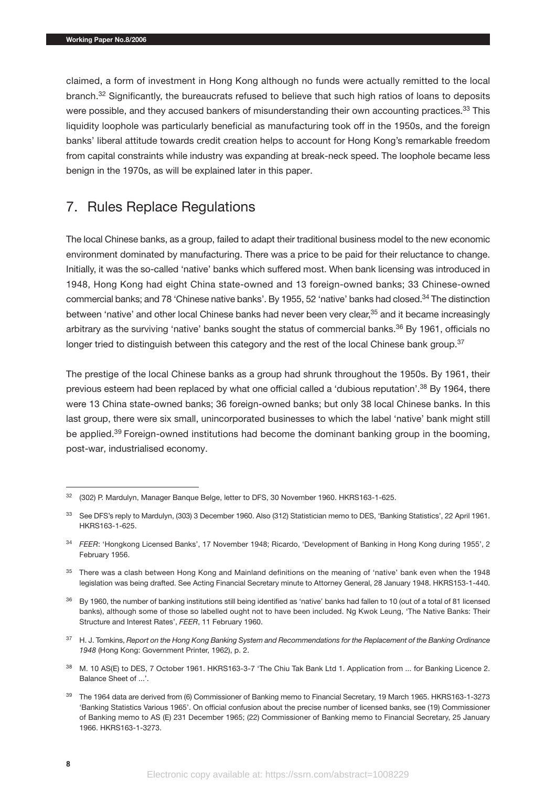claimed, a form of investment in Hong Kong although no funds were actually remitted to the local branch.<sup>32</sup> Significantly, the bureaucrats refused to believe that such high ratios of loans to deposits were possible, and they accused bankers of misunderstanding their own accounting practices.<sup>33</sup> This liquidity loophole was particularly beneficial as manufacturing took off in the 1950s, and the foreign banks' liberal attitude towards credit creation helps to account for Hong Kong's remarkable freedom from capital constraints while industry was expanding at break-neck speed. The loophole became less benign in the 1970s, as will be explained later in this paper.

## 7. Rules Replace Regulations

The local Chinese banks, as a group, failed to adapt their traditional business model to the new economic environment dominated by manufacturing. There was a price to be paid for their reluctance to change. Initially, it was the so-called 'native' banks which suffered most. When bank licensing was introduced in 1948, Hong Kong had eight China state-owned and 13 foreign-owned banks; 33 Chinese-owned commercial banks; and 78 'Chinese native banks'. By 1955, 52 'native' banks had closed.34 The distinction between 'native' and other local Chinese banks had never been very clear,<sup>35</sup> and it became increasingly arbitrary as the surviving 'native' banks sought the status of commercial banks.<sup>36</sup> By 1961, officials no longer tried to distinguish between this category and the rest of the local Chinese bank group.<sup>37</sup>

The prestige of the local Chinese banks as a group had shrunk throughout the 1950s. By 1961, their previous esteem had been replaced by what one official called a 'dubious reputation'.<sup>38</sup> By 1964, there were 13 China state-owned banks; 36 foreign-owned banks; but only 38 local Chinese banks. In this last group, there were six small, unincorporated businesses to which the label 'native' bank might still be applied.<sup>39</sup> Foreign-owned institutions had become the dominant banking group in the booming, post-war, industrialised economy.

<sup>32</sup> (302) P. Mardulyn, Manager Banque Belge, letter to DFS, 30 November 1960. HKRS163-1-625.

<sup>33</sup> See DFS's reply to Mardulyn, (303) 3 December 1960. Also (312) Statistician memo to DES, 'Banking Statistics', 22 April 1961. HKRS163-1-625.

<sup>34</sup> *FEER*: 'Hongkong Licensed Banks', 17 November 1948; Ricardo, 'Development of Banking in Hong Kong during 1955', 2 February 1956.

<sup>&</sup>lt;sup>35</sup> There was a clash between Hong Kong and Mainland definitions on the meaning of 'native' bank even when the 1948 legislation was being drafted. See Acting Financial Secretary minute to Attorney General, 28 January 1948. HKRS153-1-440.

 $36$  By 1960, the number of banking institutions still being identified as 'native' banks had fallen to 10 (out of a total of 81 licensed banks), although some of those so labelled ought not to have been included. Ng Kwok Leung, 'The Native Banks: Their Structure and Interest Rates', *FEER*, 11 February 1960.

<sup>37</sup> H. J. Tomkins, *Report on the Hong Kong Banking System and Recommendations for the Replacement of the Banking Ordinance 1948* (Hong Kong: Government Printer, 1962), p. 2.

<sup>38</sup> M. 10 AS(E) to DES, 7 October 1961. HKRS163-3-7 'The Chiu Tak Bank Ltd 1. Application from ... for Banking Licence 2. Balance Sheet of ...'.

<sup>&</sup>lt;sup>39</sup> The 1964 data are derived from (6) Commissioner of Banking memo to Financial Secretary, 19 March 1965. HKRS163-1-3273 'Banking Statistics Various 1965'. On official confusion about the precise number of licensed banks, see (19) Commissioner of Banking memo to AS (E) 231 December 1965; (22) Commissioner of Banking memo to Financial Secretary, 25 January 1966. HKRS163-1-3273.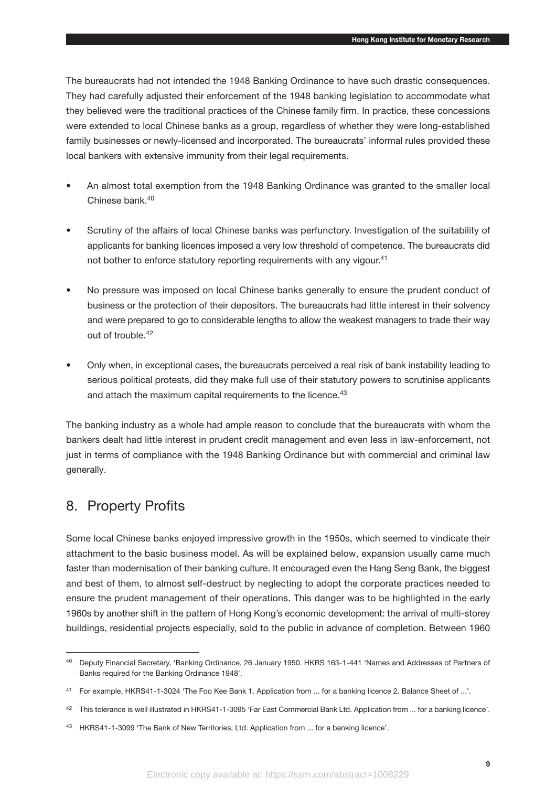The bureaucrats had not intended the 1948 Banking Ordinance to have such drastic consequences. They had carefully adjusted their enforcement of the 1948 banking legislation to accommodate what they believed were the traditional practices of the Chinese family firm. In practice, these concessions were extended to local Chinese banks as a group, regardless of whether they were long-established family businesses or newly-licensed and incorporated. The bureaucrats' informal rules provided these local bankers with extensive immunity from their legal requirements.

- An almost total exemption from the 1948 Banking Ordinance was granted to the smaller local Chinese bank.<sup>40</sup>
- Scrutiny of the affairs of local Chinese banks was perfunctory. Investigation of the suitability of applicants for banking licences imposed a very low threshold of competence. The bureaucrats did not bother to enforce statutory reporting requirements with any vigour.<sup>41</sup>
- No pressure was imposed on local Chinese banks generally to ensure the prudent conduct of business or the protection of their depositors. The bureaucrats had little interest in their solvency and were prepared to go to considerable lengths to allow the weakest managers to trade their way out of trouble.<sup>42</sup>
- Only when, in exceptional cases, the bureaucrats perceived a real risk of bank instability leading to serious political protests, did they make full use of their statutory powers to scrutinise applicants and attach the maximum capital requirements to the licence.<sup>43</sup>

The banking industry as a whole had ample reason to conclude that the bureaucrats with whom the bankers dealt had little interest in prudent credit management and even less in law-enforcement, not just in terms of compliance with the 1948 Banking Ordinance but with commercial and criminal law generally.

#### 8. Property Profits

Some local Chinese banks enjoyed impressive growth in the 1950s, which seemed to vindicate their attachment to the basic business model. As will be explained below, expansion usually came much faster than modernisation of their banking culture. It encouraged even the Hang Seng Bank, the biggest and best of them, to almost self-destruct by neglecting to adopt the corporate practices needed to ensure the prudent management of their operations. This danger was to be highlighted in the early 1960s by another shift in the pattern of Hong Kong's economic development: the arrival of multi-storey buildings, residential projects especially, sold to the public in advance of completion. Between 1960

<sup>40</sup> Deputy Financial Secretary, 'Banking Ordinance, 26 January 1950. HKRS 163-1-441 'Names and Addresses of Partners of Banks required for the Banking Ordinance 1948'.

<sup>41</sup> For example, HKRS41-1-3024 'The Foo Kee Bank 1. Application from ... for a banking licence 2. Balance Sheet of ...'.

<sup>42</sup> This tolerance is well illustrated in HKRS41-1-3095 'Far East Commercial Bank Ltd. Application from ... for a banking licence'.

<sup>43</sup> HKRS41-1-3099 'The Bank of New Territories, Ltd. Application from ... for a banking licence'.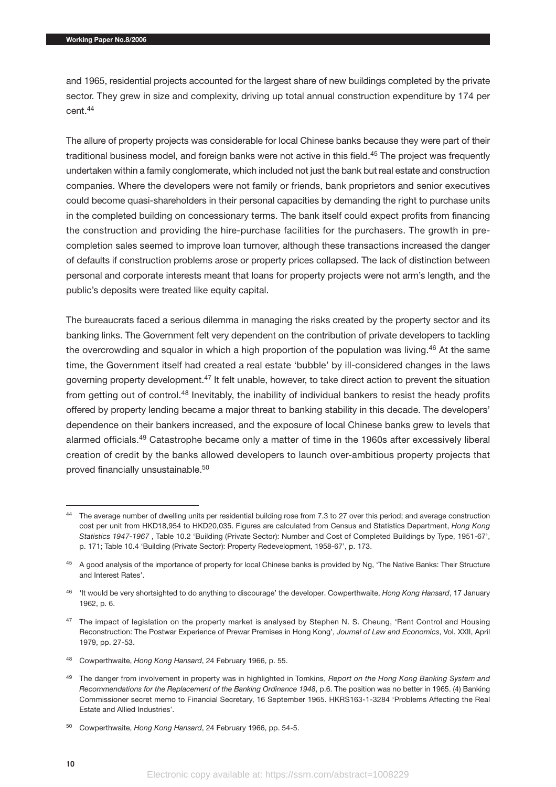and 1965, residential projects accounted for the largest share of new buildings completed by the private sector. They grew in size and complexity, driving up total annual construction expenditure by 174 per cent.44

The allure of property projects was considerable for local Chinese banks because they were part of their traditional business model, and foreign banks were not active in this field.<sup>45</sup> The project was frequently undertaken within a family conglomerate, which included not just the bank but real estate and construction companies. Where the developers were not family or friends, bank proprietors and senior executives could become quasi-shareholders in their personal capacities by demanding the right to purchase units in the completed building on concessionary terms. The bank itself could expect profits from financing the construction and providing the hire-purchase facilities for the purchasers. The growth in precompletion sales seemed to improve loan turnover, although these transactions increased the danger of defaults if construction problems arose or property prices collapsed. The lack of distinction between personal and corporate interests meant that loans for property projects were not arm's length, and the public's deposits were treated like equity capital.

The bureaucrats faced a serious dilemma in managing the risks created by the property sector and its banking links. The Government felt very dependent on the contribution of private developers to tackling the overcrowding and squalor in which a high proportion of the population was living.<sup>46</sup> At the same time, the Government itself had created a real estate 'bubble' by ill-considered changes in the laws governing property development.47 It felt unable, however, to take direct action to prevent the situation from getting out of control.<sup>48</sup> Inevitably, the inability of individual bankers to resist the heady profits offered by property lending became a major threat to banking stability in this decade. The developers' dependence on their bankers increased, and the exposure of local Chinese banks grew to levels that alarmed officials.49 Catastrophe became only a matter of time in the 1960s after excessively liberal creation of credit by the banks allowed developers to launch over-ambitious property projects that proved financially unsustainable.50

- <sup>48</sup> Cowperthwaite, *Hong Kong Hansard*, 24 February 1966, p. 55.
- <sup>49</sup> The danger from involvement in property was in highlighted in Tomkins, *Report on the Hong Kong Banking System and Recommendations for the Replacement of the Banking Ordinance 1948*, p.6. The position was no better in 1965. (4) Banking Commissioner secret memo to Financial Secretary, 16 September 1965. HKRS163-1-3284 'Problems Affecting the Real Estate and Allied Industries'.

<sup>44</sup> The average number of dwelling units per residential building rose from 7.3 to 27 over this period; and average construction cost per unit from HKD18,954 to HKD20,035. Figures are calculated from Census and Statistics Department, *Hong Kong Statistics 1947-1967* , Table 10.2 'Building (Private Sector): Number and Cost of Completed Buildings by Type, 1951-67', p. 171; Table 10.4 'Building (Private Sector): Property Redevelopment, 1958-67', p. 173.

<sup>&</sup>lt;sup>45</sup> A good analysis of the importance of property for local Chinese banks is provided by Ng, 'The Native Banks: Their Structure and Interest Rates'.

<sup>46</sup> 'It would be very shortsighted to do anything to discourage' the developer. Cowperthwaite, *Hong Kong Hansard*, 17 January 1962, p. 6.

<sup>&</sup>lt;sup>47</sup> The impact of legislation on the property market is analysed by Stephen N. S. Cheung, 'Rent Control and Housing Reconstruction: The Postwar Experience of Prewar Premises in Hong Kong', *Journal of Law and Economics*, Vol. XXII, April 1979, pp. 27-53.

<sup>50</sup> Cowperthwaite, *Hong Kong Hansard*, 24 February 1966, pp. 54-5.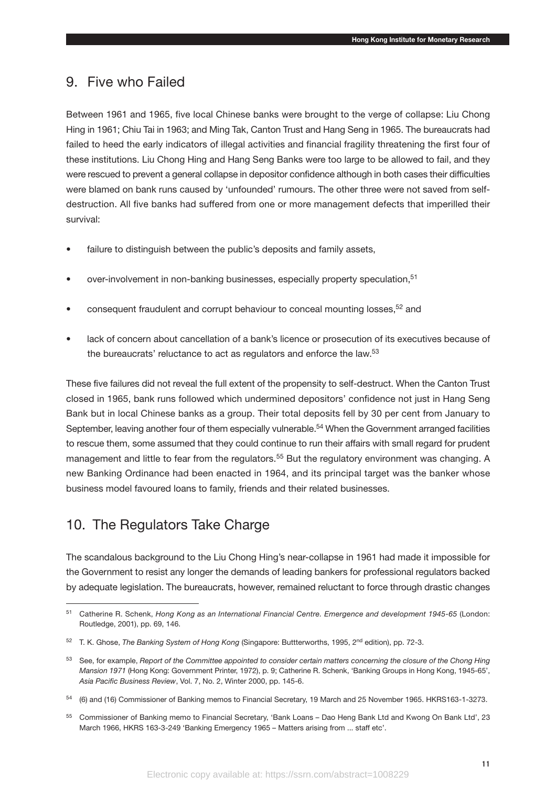#### 9. Five who Failed

Between 1961 and 1965, five local Chinese banks were brought to the verge of collapse: Liu Chong Hing in 1961; Chiu Tai in 1963; and Ming Tak, Canton Trust and Hang Seng in 1965. The bureaucrats had failed to heed the early indicators of illegal activities and financial fragility threatening the first four of these institutions. Liu Chong Hing and Hang Seng Banks were too large to be allowed to fail, and they were rescued to prevent a general collapse in depositor confidence although in both cases their difficulties were blamed on bank runs caused by 'unfounded' rumours. The other three were not saved from selfdestruction. All five banks had suffered from one or more management defects that imperilled their survival:

- failure to distinguish between the public's deposits and family assets,
- over-involvement in non-banking businesses, especially property speculation,<sup>51</sup>
- consequent fraudulent and corrupt behaviour to conceal mounting losses, <sup>52</sup> and
- lack of concern about cancellation of a bank's licence or prosecution of its executives because of the bureaucrats' reluctance to act as regulators and enforce the law.<sup>53</sup>

These five failures did not reveal the full extent of the propensity to self-destruct. When the Canton Trust closed in 1965, bank runs followed which undermined depositors' confidence not just in Hang Seng Bank but in local Chinese banks as a group. Their total deposits fell by 30 per cent from January to September, leaving another four of them especially vulnerable.<sup>54</sup> When the Government arranged facilities to rescue them, some assumed that they could continue to run their affairs with small regard for prudent management and little to fear from the regulators.<sup>55</sup> But the regulatory environment was changing. A new Banking Ordinance had been enacted in 1964, and its principal target was the banker whose business model favoured loans to family, friends and their related businesses.

#### 10. The Regulators Take Charge

The scandalous background to the Liu Chong Hing's near-collapse in 1961 had made it impossible for the Government to resist any longer the demands of leading bankers for professional regulators backed by adequate legislation. The bureaucrats, however, remained reluctant to force through drastic changes

<sup>51</sup> Catherine R. Schenk, *Hong Kong as an International Financial Centre. Emergence and development 1945-65* (London: Routledge, 2001), pp. 69, 146.

<sup>52</sup> T. K. Ghose, *The Banking System of Hong Kong* (Singapore: Buttterworths, 1995, 2nd edition), pp. 72-3.

<sup>53</sup> See, for example, *Report of the Committee appointed to consider certain matters concerning the closure of the Chong Hing Mansion 1971* (Hong Kong: Government Printer, 1972), p. 9; Catherine R. Schenk, 'Banking Groups in Hong Kong, 1945-65', *Asia Pacific Business Review*, Vol. 7, No. 2, Winter 2000, pp. 145-6.

<sup>54</sup> (6) and (16) Commissioner of Banking memos to Financial Secretary, 19 March and 25 November 1965. HKRS163-1-3273.

<sup>55</sup> Commissioner of Banking memo to Financial Secretary, 'Bank Loans – Dao Heng Bank Ltd and Kwong On Bank Ltd', 23 March 1966, HKRS 163-3-249 'Banking Emergency 1965 – Matters arising from ... staff etc'.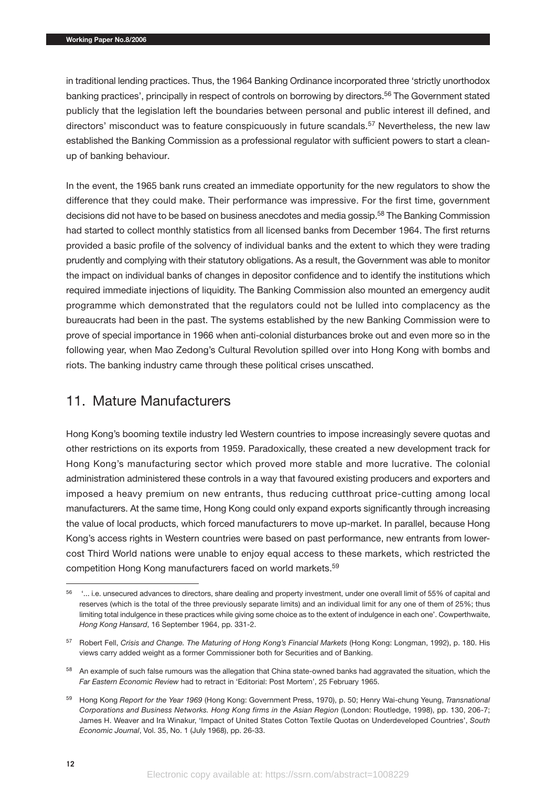in traditional lending practices. Thus, the 1964 Banking Ordinance incorporated three 'strictly unorthodox banking practices', principally in respect of controls on borrowing by directors.<sup>56</sup> The Government stated publicly that the legislation left the boundaries between personal and public interest ill defined, and directors' misconduct was to feature conspicuously in future scandals.<sup>57</sup> Nevertheless, the new law established the Banking Commission as a professional regulator with sufficient powers to start a cleanup of banking behaviour.

In the event, the 1965 bank runs created an immediate opportunity for the new regulators to show the difference that they could make. Their performance was impressive. For the first time, government decisions did not have to be based on business anecdotes and media gossip.<sup>58</sup> The Banking Commission had started to collect monthly statistics from all licensed banks from December 1964. The first returns provided a basic profile of the solvency of individual banks and the extent to which they were trading prudently and complying with their statutory obligations. As a result, the Government was able to monitor the impact on individual banks of changes in depositor confidence and to identify the institutions which required immediate injections of liquidity. The Banking Commission also mounted an emergency audit programme which demonstrated that the regulators could not be lulled into complacency as the bureaucrats had been in the past. The systems established by the new Banking Commission were to prove of special importance in 1966 when anti-colonial disturbances broke out and even more so in the following year, when Mao Zedong's Cultural Revolution spilled over into Hong Kong with bombs and riots. The banking industry came through these political crises unscathed.

#### 11. Mature Manufacturers

Hong Kong's booming textile industry led Western countries to impose increasingly severe quotas and other restrictions on its exports from 1959. Paradoxically, these created a new development track for Hong Kong's manufacturing sector which proved more stable and more lucrative. The colonial administration administered these controls in a way that favoured existing producers and exporters and imposed a heavy premium on new entrants, thus reducing cutthroat price-cutting among local manufacturers. At the same time, Hong Kong could only expand exports significantly through increasing the value of local products, which forced manufacturers to move up-market. In parallel, because Hong Kong's access rights in Western countries were based on past performance, new entrants from lowercost Third World nations were unable to enjoy equal access to these markets, which restricted the competition Hong Kong manufacturers faced on world markets.59

<sup>56 &#</sup>x27;... i.e. unsecured advances to directors, share dealing and property investment, under one overall limit of 55% of capital and reserves (which is the total of the three previously separate limits) and an individual limit for any one of them of 25%; thus limiting total indulgence in these practices while giving some choice as to the extent of indulgence in each one'. Cowperthwaite, *Hong Kong Hansard*, 16 September 1964, pp. 331-2.

<sup>57</sup> Robert Fell, *Crisis and Change. The Maturing of Hong Kong's Financial Markets* (Hong Kong: Longman, 1992), p. 180. His views carry added weight as a former Commissioner both for Securities and of Banking.

<sup>&</sup>lt;sup>58</sup> An example of such false rumours was the allegation that China state-owned banks had aggravated the situation, which the *Far Eastern Economic Review* had to retract in 'Editorial: Post Mortem', 25 February 1965.

<sup>59</sup> Hong Kong *Report for the Year 1969* (Hong Kong: Government Press, 1970), p. 50; Henry Wai-chung Yeung, *Transnational Corporations and Business Networks. Hong Kong firms in the Asian Region* (London: Routledge, 1998), pp. 130, 206-7; James H. Weaver and Ira Winakur, 'Impact of United States Cotton Textile Quotas on Underdeveloped Countries', *South Economic Journal*, Vol. 35, No. 1 (July 1968), pp. 26-33.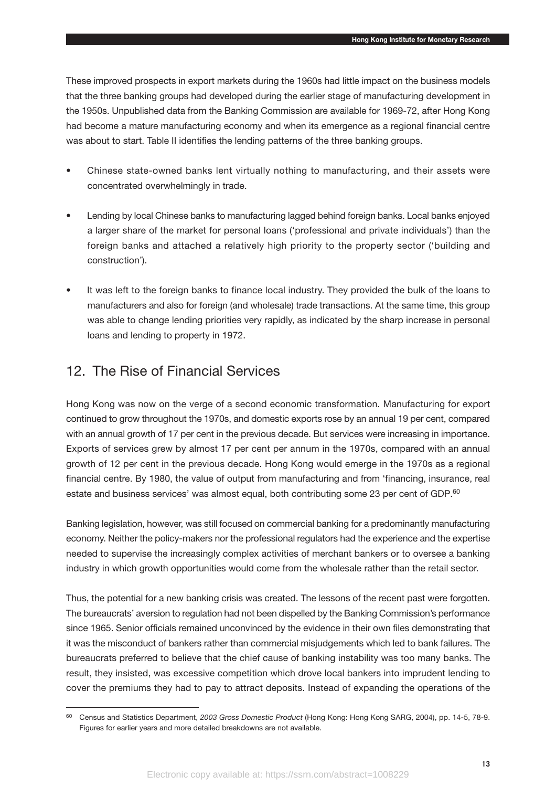These improved prospects in export markets during the 1960s had little impact on the business models that the three banking groups had developed during the earlier stage of manufacturing development in the 1950s. Unpublished data from the Banking Commission are available for 1969-72, after Hong Kong had become a mature manufacturing economy and when its emergence as a regional financial centre was about to start. Table II identifies the lending patterns of the three banking groups.

- Chinese state-owned banks lent virtually nothing to manufacturing, and their assets were concentrated overwhelmingly in trade.
- Lending by local Chinese banks to manufacturing lagged behind foreign banks. Local banks enjoyed a larger share of the market for personal loans ('professional and private individuals') than the foreign banks and attached a relatively high priority to the property sector ('building and construction').
- It was left to the foreign banks to finance local industry. They provided the bulk of the loans to manufacturers and also for foreign (and wholesale) trade transactions. At the same time, this group was able to change lending priorities very rapidly, as indicated by the sharp increase in personal loans and lending to property in 1972.

## 12. The Rise of Financial Services

Hong Kong was now on the verge of a second economic transformation. Manufacturing for export continued to grow throughout the 1970s, and domestic exports rose by an annual 19 per cent, compared with an annual growth of 17 per cent in the previous decade. But services were increasing in importance. Exports of services grew by almost 17 per cent per annum in the 1970s, compared with an annual growth of 12 per cent in the previous decade. Hong Kong would emerge in the 1970s as a regional financial centre. By 1980, the value of output from manufacturing and from 'financing, insurance, real estate and business services' was almost equal, both contributing some 23 per cent of GDP.<sup>60</sup>

Banking legislation, however, was still focused on commercial banking for a predominantly manufacturing economy. Neither the policy-makers nor the professional regulators had the experience and the expertise needed to supervise the increasingly complex activities of merchant bankers or to oversee a banking industry in which growth opportunities would come from the wholesale rather than the retail sector.

Thus, the potential for a new banking crisis was created. The lessons of the recent past were forgotten. The bureaucrats' aversion to regulation had not been dispelled by the Banking Commission's performance since 1965. Senior officials remained unconvinced by the evidence in their own files demonstrating that it was the misconduct of bankers rather than commercial misjudgements which led to bank failures. The bureaucrats preferred to believe that the chief cause of banking instability was too many banks. The result, they insisted, was excessive competition which drove local bankers into imprudent lending to cover the premiums they had to pay to attract deposits. Instead of expanding the operations of the

<sup>60</sup> Census and Statistics Department, *2003 Gross Domestic Product* (Hong Kong: Hong Kong SARG, 2004), pp. 14-5, 78-9. Figures for earlier years and more detailed breakdowns are not available.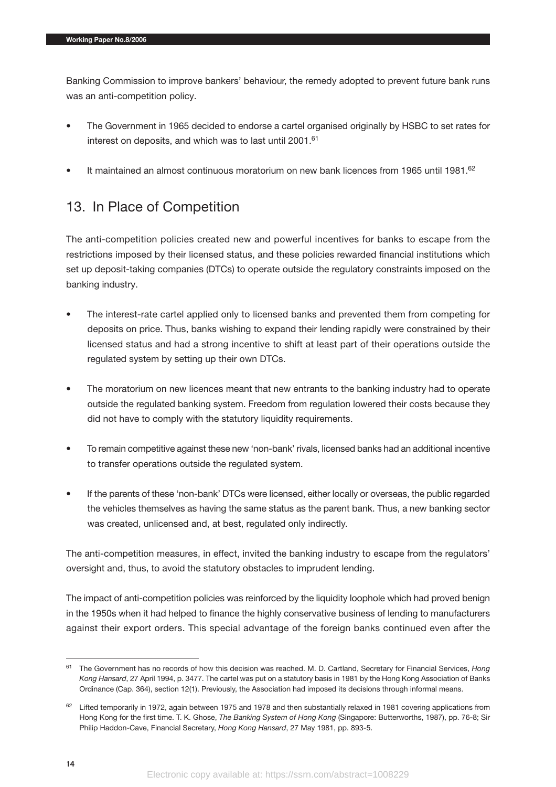Banking Commission to improve bankers' behaviour, the remedy adopted to prevent future bank runs was an anti-competition policy.

- The Government in 1965 decided to endorse a cartel organised originally by HSBC to set rates for interest on deposits, and which was to last until 2001.<sup>61</sup>
- It maintained an almost continuous moratorium on new bank licences from 1965 until 1981.<sup>62</sup>

# 13. In Place of Competition

The anti-competition policies created new and powerful incentives for banks to escape from the restrictions imposed by their licensed status, and these policies rewarded financial institutions which set up deposit-taking companies (DTCs) to operate outside the regulatory constraints imposed on the banking industry.

- The interest-rate cartel applied only to licensed banks and prevented them from competing for deposits on price. Thus, banks wishing to expand their lending rapidly were constrained by their licensed status and had a strong incentive to shift at least part of their operations outside the regulated system by setting up their own DTCs.
- The moratorium on new licences meant that new entrants to the banking industry had to operate outside the regulated banking system. Freedom from regulation lowered their costs because they did not have to comply with the statutory liquidity requirements.
- To remain competitive against these new 'non-bank' rivals, licensed banks had an additional incentive to transfer operations outside the regulated system.
- If the parents of these 'non-bank' DTCs were licensed, either locally or overseas, the public regarded the vehicles themselves as having the same status as the parent bank. Thus, a new banking sector was created, unlicensed and, at best, regulated only indirectly.

The anti-competition measures, in effect, invited the banking industry to escape from the regulators' oversight and, thus, to avoid the statutory obstacles to imprudent lending.

The impact of anti-competition policies was reinforced by the liquidity loophole which had proved benign in the 1950s when it had helped to finance the highly conservative business of lending to manufacturers against their export orders. This special advantage of the foreign banks continued even after the

<sup>61</sup> The Government has no records of how this decision was reached. M. D. Cartland, Secretary for Financial Services, *Hong Kong Hansard*, 27 April 1994, p. 3477. The cartel was put on a statutory basis in 1981 by the Hong Kong Association of Banks Ordinance (Cap. 364), section 12(1). Previously, the Association had imposed its decisions through informal means.

 $62$  Lifted temporarily in 1972, again between 1975 and 1978 and then substantially relaxed in 1981 covering applications from Hong Kong for the first time. T. K. Ghose, *The Banking System of Hong Kong* (Singapore: Butterworths, 1987), pp. 76-8; Sir Philip Haddon-Cave, Financial Secretary, *Hong Kong Hansard*, 27 May 1981, pp. 893-5.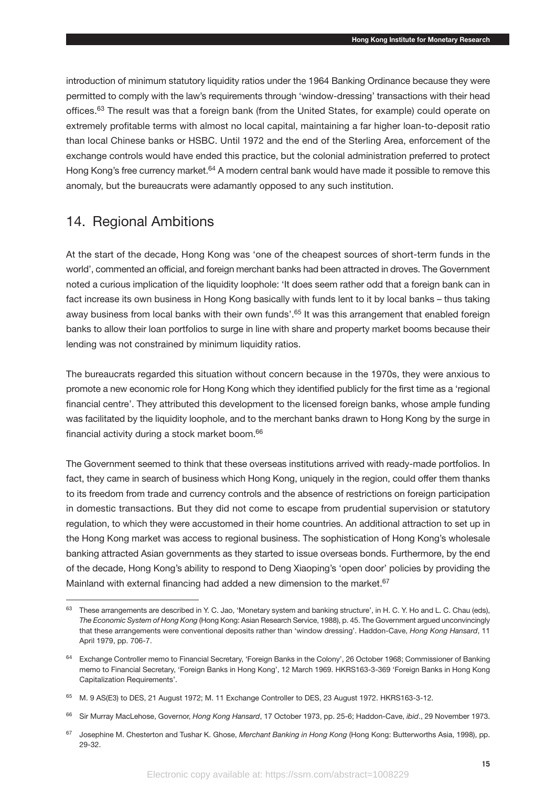introduction of minimum statutory liquidity ratios under the 1964 Banking Ordinance because they were permitted to comply with the law's requirements through 'window-dressing' transactions with their head offices.<sup>63</sup> The result was that a foreign bank (from the United States, for example) could operate on extremely profitable terms with almost no local capital, maintaining a far higher loan-to-deposit ratio than local Chinese banks or HSBC. Until 1972 and the end of the Sterling Area, enforcement of the exchange controls would have ended this practice, but the colonial administration preferred to protect Hong Kong's free currency market.<sup>64</sup> A modern central bank would have made it possible to remove this anomaly, but the bureaucrats were adamantly opposed to any such institution.

#### 14. Regional Ambitions

At the start of the decade, Hong Kong was 'one of the cheapest sources of short-term funds in the world', commented an official, and foreign merchant banks had been attracted in droves. The Government noted a curious implication of the liquidity loophole: 'It does seem rather odd that a foreign bank can in fact increase its own business in Hong Kong basically with funds lent to it by local banks – thus taking away business from local banks with their own funds'.<sup>65</sup> It was this arrangement that enabled foreign banks to allow their loan portfolios to surge in line with share and property market booms because their lending was not constrained by minimum liquidity ratios.

The bureaucrats regarded this situation without concern because in the 1970s, they were anxious to promote a new economic role for Hong Kong which they identified publicly for the first time as a 'regional financial centre'. They attributed this development to the licensed foreign banks, whose ample funding was facilitated by the liquidity loophole, and to the merchant banks drawn to Hong Kong by the surge in financial activity during a stock market boom.66

The Government seemed to think that these overseas institutions arrived with ready-made portfolios. In fact, they came in search of business which Hong Kong, uniquely in the region, could offer them thanks to its freedom from trade and currency controls and the absence of restrictions on foreign participation in domestic transactions. But they did not come to escape from prudential supervision or statutory regulation, to which they were accustomed in their home countries. An additional attraction to set up in the Hong Kong market was access to regional business. The sophistication of Hong Kong's wholesale banking attracted Asian governments as they started to issue overseas bonds. Furthermore, by the end of the decade, Hong Kong's ability to respond to Deng Xiaoping's 'open door' policies by providing the Mainland with external financing had added a new dimension to the market.<sup>67</sup>

<sup>63</sup> These arrangements are described in Y. C. Jao, 'Monetary system and banking structure', in H. C. Y. Ho and L. C. Chau (eds), *The Economic System of Hong Kong* (Hong Kong: Asian Research Service, 1988), p. 45. The Government argued unconvincingly that these arrangements were conventional deposits rather than 'window dressing'. Haddon-Cave, *Hong Kong Hansard*, 11 April 1979, pp. 706-7.

<sup>64</sup> Exchange Controller memo to Financial Secretary, 'Foreign Banks in the Colony', 26 October 1968; Commissioner of Banking memo to Financial Secretary, 'Foreign Banks in Hong Kong', 12 March 1969. HKRS163-3-369 'Foreign Banks in Hong Kong Capitalization Requirements'.

<sup>65</sup> M. 9 AS(E3) to DES, 21 August 1972; M. 11 Exchange Controller to DES, 23 August 1972. HKRS163-3-12.

<sup>66</sup> Sir Murray MacLehose, Governor, *Hong Kong Hansard*, 17 October 1973, pp. 25-6; Haddon-Cave, *ibid*., 29 November 1973.

<sup>67</sup> Josephine M. Chesterton and Tushar K. Ghose, *Merchant Banking in Hong Kong* (Hong Kong: Butterworths Asia, 1998), pp. 29-32.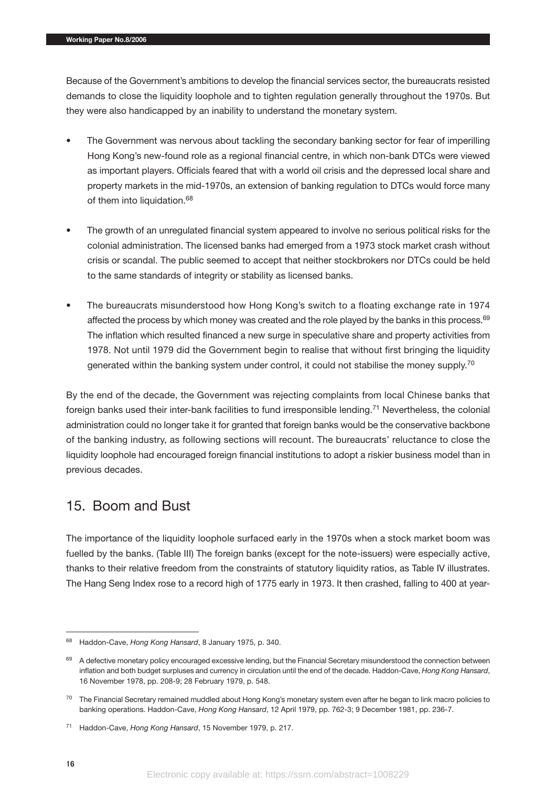Because of the Government's ambitions to develop the financial services sector, the bureaucrats resisted demands to close the liquidity loophole and to tighten regulation generally throughout the 1970s. But they were also handicapped by an inability to understand the monetary system.

- The Government was nervous about tackling the secondary banking sector for fear of imperilling Hong Kong's new-found role as a regional financial centre, in which non-bank DTCs were viewed as important players. Officials feared that with a world oil crisis and the depressed local share and property markets in the mid-1970s, an extension of banking regulation to DTCs would force many of them into liquidation.<sup>68</sup>
- The growth of an unregulated financial system appeared to involve no serious political risks for the colonial administration. The licensed banks had emerged from a 1973 stock market crash without crisis or scandal. The public seemed to accept that neither stockbrokers nor DTCs could be held to the same standards of integrity or stability as licensed banks.
- The bureaucrats misunderstood how Hong Kong's switch to a floating exchange rate in 1974 affected the process by which money was created and the role played by the banks in this process. $69$ The inflation which resulted financed a new surge in speculative share and property activities from 1978. Not until 1979 did the Government begin to realise that without first bringing the liquidity generated within the banking system under control, it could not stabilise the money supply.<sup>70</sup>

By the end of the decade, the Government was rejecting complaints from local Chinese banks that foreign banks used their inter-bank facilities to fund irresponsible lending.<sup>71</sup> Nevertheless, the colonial administration could no longer take it for granted that foreign banks would be the conservative backbone of the banking industry, as following sections will recount. The bureaucrats' reluctance to close the liquidity loophole had encouraged foreign financial institutions to adopt a riskier business model than in previous decades.

#### 15. Boom and Bust

The importance of the liquidity loophole surfaced early in the 1970s when a stock market boom was fuelled by the banks. (Table III) The foreign banks (except for the note-issuers) were especially active, thanks to their relative freedom from the constraints of statutory liquidity ratios, as Table IV illustrates. The Hang Seng Index rose to a record high of 1775 early in 1973. It then crashed, falling to 400 at year-

<sup>68</sup> Haddon-Cave, *Hong Kong Hansard*, 8 January 1975, p. 340.

<sup>&</sup>lt;sup>69</sup> A defective monetary policy encouraged excessive lending, but the Financial Secretary misunderstood the connection between inflation and both budget surpluses and currency in circulation until the end of the decade. Haddon-Cave, *Hong Kong Hansard*, 16 November 1978, pp. 208-9; 28 February 1979, p. 548.

<sup>&</sup>lt;sup>70</sup> The Financial Secretary remained muddled about Hong Kong's monetary system even after he began to link macro policies to banking operations. Haddon-Cave, *Hong Kong Hansard*, 12 April 1979, pp. 762-3; 9 December 1981, pp. 236-7.

<sup>71</sup> Haddon-Cave, *Hong Kong Hansard*, 15 November 1979, p. 217.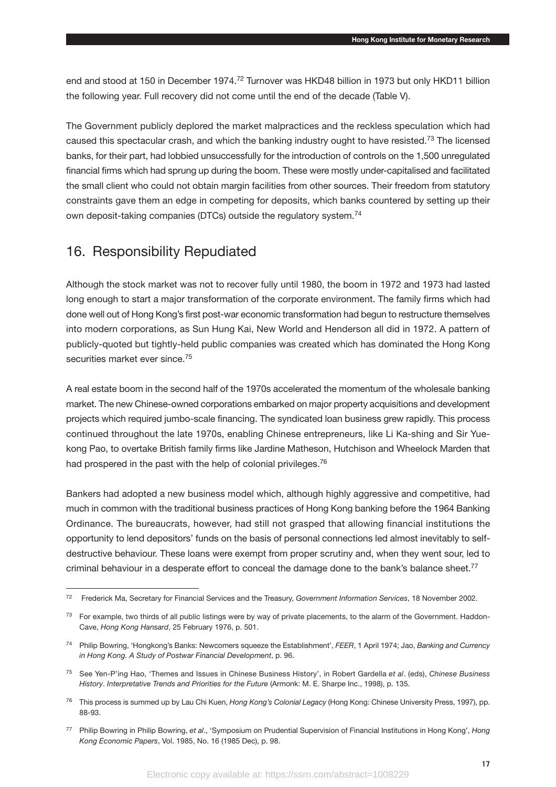end and stood at 150 in December 1974.<sup>72</sup> Turnover was HKD48 billion in 1973 but only HKD11 billion the following year. Full recovery did not come until the end of the decade (Table V).

The Government publicly deplored the market malpractices and the reckless speculation which had caused this spectacular crash, and which the banking industry ought to have resisted.73 The licensed banks, for their part, had lobbied unsuccessfully for the introduction of controls on the 1,500 unregulated financial firms which had sprung up during the boom. These were mostly under-capitalised and facilitated the small client who could not obtain margin facilities from other sources. Their freedom from statutory constraints gave them an edge in competing for deposits, which banks countered by setting up their own deposit-taking companies (DTCs) outside the regulatory system.74

#### 16. Responsibility Repudiated

Although the stock market was not to recover fully until 1980, the boom in 1972 and 1973 had lasted long enough to start a major transformation of the corporate environment. The family firms which had done well out of Hong Kong's first post-war economic transformation had begun to restructure themselves into modern corporations, as Sun Hung Kai, New World and Henderson all did in 1972. A pattern of publicly-quoted but tightly-held public companies was created which has dominated the Hong Kong securities market ever since.<sup>75</sup>

A real estate boom in the second half of the 1970s accelerated the momentum of the wholesale banking market. The new Chinese-owned corporations embarked on major property acquisitions and development projects which required jumbo-scale financing. The syndicated loan business grew rapidly. This process continued throughout the late 1970s, enabling Chinese entrepreneurs, like Li Ka-shing and Sir Yuekong Pao, to overtake British family firms like Jardine Matheson, Hutchison and Wheelock Marden that had prospered in the past with the help of colonial privileges.<sup>76</sup>

Bankers had adopted a new business model which, although highly aggressive and competitive, had much in common with the traditional business practices of Hong Kong banking before the 1964 Banking Ordinance. The bureaucrats, however, had still not grasped that allowing financial institutions the opportunity to lend depositors' funds on the basis of personal connections led almost inevitably to selfdestructive behaviour. These loans were exempt from proper scrutiny and, when they went sour, led to criminal behaviour in a desperate effort to conceal the damage done to the bank's balance sheet.<sup>77</sup>

<sup>72</sup> Frederick Ma, Secretary for Financial Services and the Treasury, *Government Information Services*, 18 November 2002.

<sup>&</sup>lt;sup>73</sup> For example, two thirds of all public listings were by way of private placements, to the alarm of the Government. Haddon-Cave, *Hong Kong Hansard*, 25 February 1976, p. 501.

<sup>74</sup> Philip Bowring, 'Hongkong's Banks: Newcomers squeeze the Establishment', *FEER*, 1 April 1974; Jao, *Banking and Currency in Hong Kong. A Study of Postwar Financial Development*, p. 96.

<sup>75</sup> See Yen-P'ing Hao, 'Themes and Issues in Chinese Business History', in Robert Gardella *et al*. (eds), *Chinese Business History*. *Interpretative Trends and Priorities for the Future* (Armonk: M. E. Sharpe Inc., 1998), p. 135.

<sup>76</sup> This process is summed up by Lau Chi Kuen, *Hong Kong's Colonial Legacy* (Hong Kong: Chinese University Press, 1997), pp. 88-93.

<sup>77</sup> Philip Bowring in Philip Bowring, *et al*., 'Symposium on Prudential Supervision of Financial Institutions in Hong Kong', *Hong Kong Economic Papers*, Vol. 1985, No. 16 (1985 Dec), p. 98.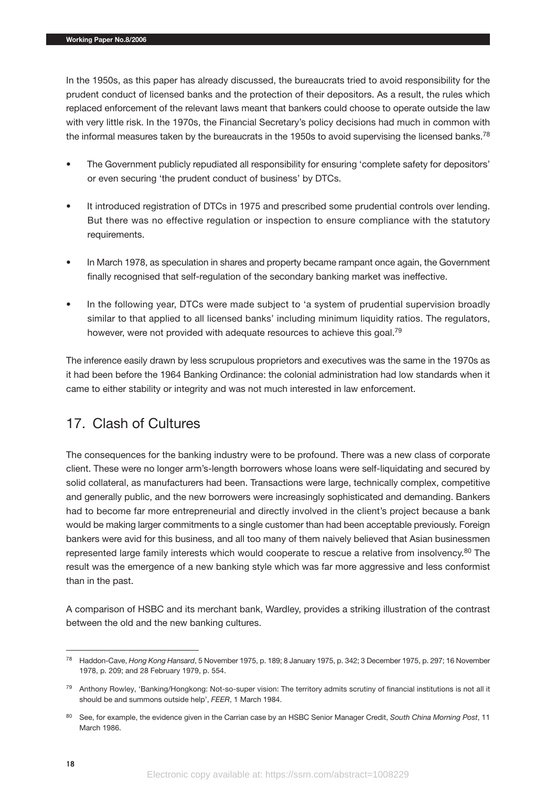In the 1950s, as this paper has already discussed, the bureaucrats tried to avoid responsibility for the prudent conduct of licensed banks and the protection of their depositors. As a result, the rules which replaced enforcement of the relevant laws meant that bankers could choose to operate outside the law with very little risk. In the 1970s, the Financial Secretary's policy decisions had much in common with the informal measures taken by the bureaucrats in the 1950s to avoid supervising the licensed banks.<sup>78</sup>

- The Government publicly repudiated all responsibility for ensuring 'complete safety for depositors' or even securing 'the prudent conduct of business' by DTCs.
- It introduced registration of DTCs in 1975 and prescribed some prudential controls over lending. But there was no effective regulation or inspection to ensure compliance with the statutory requirements.
- In March 1978, as speculation in shares and property became rampant once again, the Government finally recognised that self-regulation of the secondary banking market was ineffective.
- In the following year, DTCs were made subject to 'a system of prudential supervision broadly similar to that applied to all licensed banks' including minimum liquidity ratios. The regulators, however, were not provided with adequate resources to achieve this goal.<sup>79</sup>

The inference easily drawn by less scrupulous proprietors and executives was the same in the 1970s as it had been before the 1964 Banking Ordinance: the colonial administration had low standards when it came to either stability or integrity and was not much interested in law enforcement.

# 17. Clash of Cultures

The consequences for the banking industry were to be profound. There was a new class of corporate client. These were no longer arm's-length borrowers whose loans were self-liquidating and secured by solid collateral, as manufacturers had been. Transactions were large, technically complex, competitive and generally public, and the new borrowers were increasingly sophisticated and demanding. Bankers had to become far more entrepreneurial and directly involved in the client's project because a bank would be making larger commitments to a single customer than had been acceptable previously. Foreign bankers were avid for this business, and all too many of them naively believed that Asian businessmen represented large family interests which would cooperate to rescue a relative from insolvency.<sup>80</sup> The result was the emergence of a new banking style which was far more aggressive and less conformist than in the past.

A comparison of HSBC and its merchant bank, Wardley, provides a striking illustration of the contrast between the old and the new banking cultures.

<sup>78</sup> Haddon-Cave, *Hong Kong Hansard*, 5 November 1975, p. 189; 8 January 1975, p. 342; 3 December 1975, p. 297; 16 November 1978, p. 209; and 28 February 1979, p. 554.

<sup>&</sup>lt;sup>79</sup> Anthony Rowley, 'Banking/Hongkong: Not-so-super vision: The territory admits scrutiny of financial institutions is not all it should be and summons outside help', *FEER*, 1 March 1984.

<sup>80</sup> See, for example, the evidence given in the Carrian case by an HSBC Senior Manager Credit, *South China Morning Post*, 11 March 1986.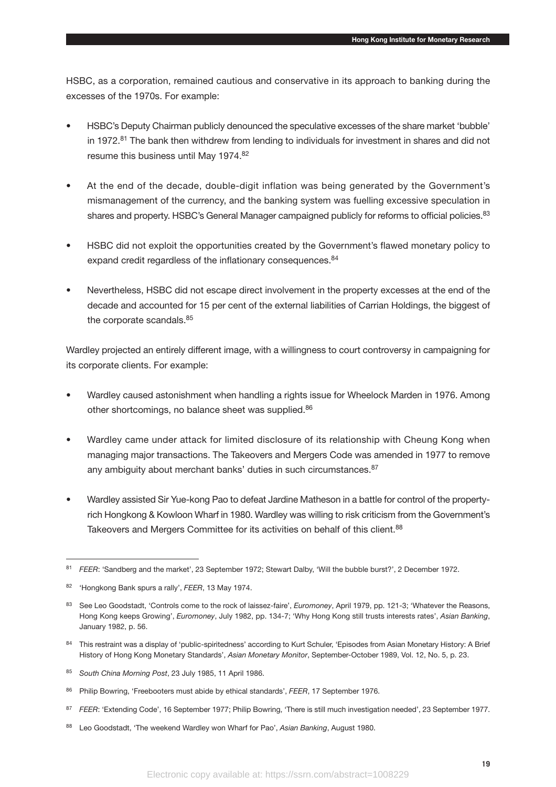HSBC, as a corporation, remained cautious and conservative in its approach to banking during the excesses of the 1970s. For example:

- HSBC's Deputy Chairman publicly denounced the speculative excesses of the share market 'bubble' in 1972. $81$  The bank then withdrew from lending to individuals for investment in shares and did not resume this business until May 1974.82
- At the end of the decade, double-digit inflation was being generated by the Government's mismanagement of the currency, and the banking system was fuelling excessive speculation in shares and property. HSBC's General Manager campaigned publicly for reforms to official policies.<sup>83</sup>
- HSBC did not exploit the opportunities created by the Government's flawed monetary policy to expand credit regardless of the inflationary consequences.<sup>84</sup>
- Nevertheless, HSBC did not escape direct involvement in the property excesses at the end of the decade and accounted for 15 per cent of the external liabilities of Carrian Holdings, the biggest of the corporate scandals.<sup>85</sup>

Wardley projected an entirely different image, with a willingness to court controversy in campaigning for its corporate clients. For example:

- Wardley caused astonishment when handling a rights issue for Wheelock Marden in 1976. Among other shortcomings, no balance sheet was supplied.<sup>86</sup>
- Wardley came under attack for limited disclosure of its relationship with Cheung Kong when managing major transactions. The Takeovers and Mergers Code was amended in 1977 to remove any ambiguity about merchant banks' duties in such circumstances.<sup>87</sup>
- Wardley assisted Sir Yue-kong Pao to defeat Jardine Matheson in a battle for control of the propertyrich Hongkong & Kowloon Wharf in 1980. Wardley was willing to risk criticism from the Government's Takeovers and Mergers Committee for its activities on behalf of this client.<sup>88</sup>

- 84 This restraint was a display of 'public-spiritedness' according to Kurt Schuler, 'Episodes from Asian Monetary History: A Brief History of Hong Kong Monetary Standards', *Asian Monetary Monitor*, September-October 1989, Vol. 12, No. 5, p. 23.
- <sup>85</sup> *South China Morning Post*, 23 July 1985, 11 April 1986.
- <sup>86</sup> Philip Bowring, 'Freebooters must abide by ethical standards', *FEER*, 17 September 1976.
- 87 FEER: 'Extending Code', 16 September 1977; Philip Bowring, 'There is still much investigation needed', 23 September 1977.
- <sup>88</sup> Leo Goodstadt, 'The weekend Wardley won Wharf for Pao', *Asian Banking*, August 1980.

<sup>81</sup> *FEER*: 'Sandberg and the market', 23 September 1972; Stewart Dalby, 'Will the bubble burst?', 2 December 1972.

<sup>82</sup> 'Hongkong Bank spurs a rally', *FEER*, 13 May 1974.

<sup>83</sup> See Leo Goodstadt, 'Controls come to the rock of laissez-faire', *Euromoney*, April 1979, pp. 121-3; 'Whatever the Reasons, Hong Kong keeps Growing', *Euromoney*, July 1982, pp. 134-7; 'Why Hong Kong still trusts interests rates', *Asian Banking*, January 1982, p. 56.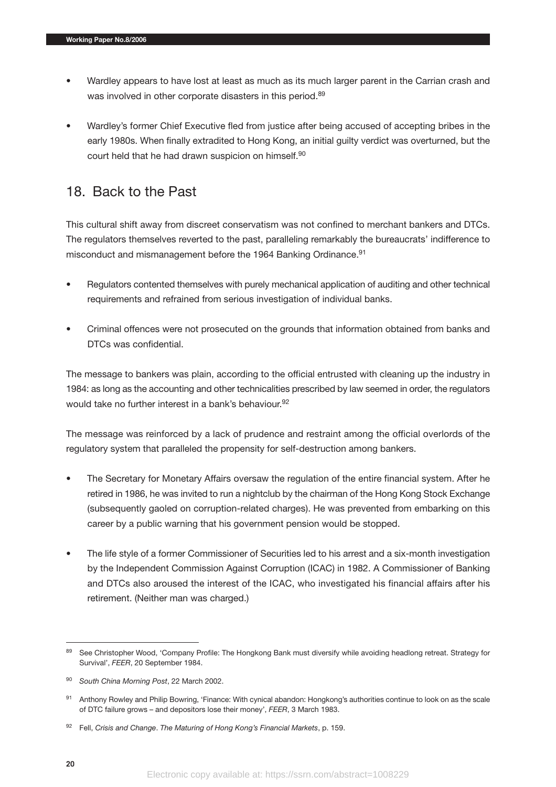- Wardley appears to have lost at least as much as its much larger parent in the Carrian crash and was involved in other corporate disasters in this period.<sup>89</sup>
- Wardley's former Chief Executive fled from justice after being accused of accepting bribes in the early 1980s. When finally extradited to Hong Kong, an initial guilty verdict was overturned, but the court held that he had drawn suspicion on himself.90

#### 18. Back to the Past

This cultural shift away from discreet conservatism was not confined to merchant bankers and DTCs. The regulators themselves reverted to the past, paralleling remarkably the bureaucrats' indifference to misconduct and mismanagement before the 1964 Banking Ordinance.<sup>91</sup>

- Regulators contented themselves with purely mechanical application of auditing and other technical requirements and refrained from serious investigation of individual banks.
- Criminal offences were not prosecuted on the grounds that information obtained from banks and DTCs was confidential.

The message to bankers was plain, according to the official entrusted with cleaning up the industry in 1984: as long as the accounting and other technicalities prescribed by law seemed in order, the regulators would take no further interest in a bank's behaviour.<sup>92</sup>

The message was reinforced by a lack of prudence and restraint among the official overlords of the regulatory system that paralleled the propensity for self-destruction among bankers.

- The Secretary for Monetary Affairs oversaw the regulation of the entire financial system. After he retired in 1986, he was invited to run a nightclub by the chairman of the Hong Kong Stock Exchange (subsequently gaoled on corruption-related charges). He was prevented from embarking on this career by a public warning that his government pension would be stopped.
- The life style of a former Commissioner of Securities led to his arrest and a six-month investigation by the Independent Commission Against Corruption (ICAC) in 1982. A Commissioner of Banking and DTCs also aroused the interest of the ICAC, who investigated his financial affairs after his retirement. (Neither man was charged.)

<sup>89</sup> See Christopher Wood, 'Company Profile: The Hongkong Bank must diversify while avoiding headlong retreat. Strategy for Survival', *FEER*, 20 September 1984.

<sup>90</sup> *South China Morning Post*, 22 March 2002.

<sup>91</sup> Anthony Rowley and Philip Bowring, 'Finance: With cynical abandon: Hongkong's authorities continue to look on as the scale of DTC failure grows – and depositors lose their money', *FEER*, 3 March 1983.

<sup>92</sup> Fell, *Crisis and Change*. *The Maturing of Hong Kong's Financial Markets*, p. 159.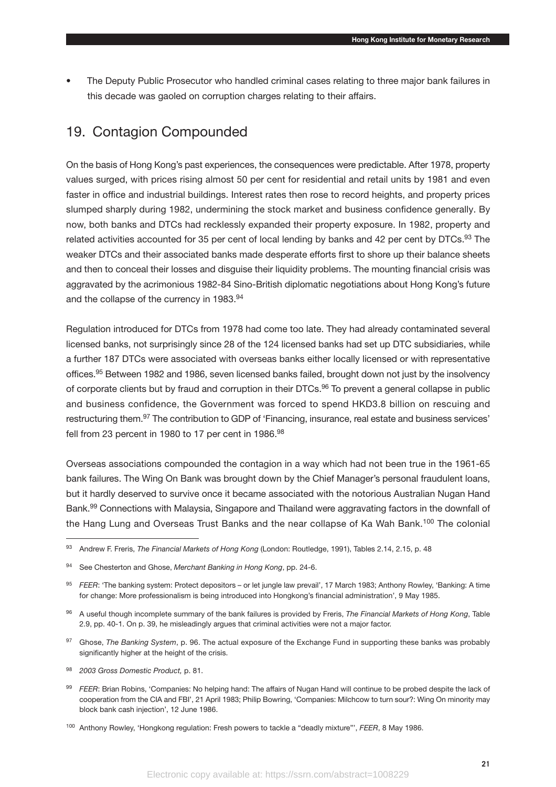• The Deputy Public Prosecutor who handled criminal cases relating to three major bank failures in this decade was gaoled on corruption charges relating to their affairs.

#### 19. Contagion Compounded

On the basis of Hong Kong's past experiences, the consequences were predictable. After 1978, property values surged, with prices rising almost 50 per cent for residential and retail units by 1981 and even faster in office and industrial buildings. Interest rates then rose to record heights, and property prices slumped sharply during 1982, undermining the stock market and business confidence generally. By now, both banks and DTCs had recklessly expanded their property exposure. In 1982, property and related activities accounted for 35 per cent of local lending by banks and 42 per cent by DTCs.<sup>93</sup> The weaker DTCs and their associated banks made desperate efforts first to shore up their balance sheets and then to conceal their losses and disguise their liquidity problems. The mounting financial crisis was aggravated by the acrimonious 1982-84 Sino-British diplomatic negotiations about Hong Kong's future and the collapse of the currency in 1983.<sup>94</sup>

Regulation introduced for DTCs from 1978 had come too late. They had already contaminated several licensed banks, not surprisingly since 28 of the 124 licensed banks had set up DTC subsidiaries, while a further 187 DTCs were associated with overseas banks either locally licensed or with representative offices.95 Between 1982 and 1986, seven licensed banks failed, brought down not just by the insolvency of corporate clients but by fraud and corruption in their DTCs.<sup>96</sup> To prevent a general collapse in public and business confidence, the Government was forced to spend HKD3.8 billion on rescuing and restructuring them.<sup>97</sup> The contribution to GDP of 'Financing, insurance, real estate and business services' fell from 23 percent in 1980 to 17 per cent in 1986.98

Overseas associations compounded the contagion in a way which had not been true in the 1961-65 bank failures. The Wing On Bank was brought down by the Chief Manager's personal fraudulent loans, but it hardly deserved to survive once it became associated with the notorious Australian Nugan Hand Bank.<sup>99</sup> Connections with Malaysia, Singapore and Thailand were aggravating factors in the downfall of the Hang Lung and Overseas Trust Banks and the near collapse of Ka Wah Bank.<sup>100</sup> The colonial

- <sup>97</sup> Ghose, *The Banking System*, p. 96. The actual exposure of the Exchange Fund in supporting these banks was probably significantly higher at the height of the crisis.
- <sup>98</sup> *2003 Gross Domestic Product,* p. 81.
- 99 *FEER*: Brian Robins, 'Companies: No helping hand: The affairs of Nugan Hand will continue to be probed despite the lack of cooperation from the CIA and FBI', 21 April 1983; Philip Bowring, 'Companies: Milchcow to turn sour?: Wing On minority may block bank cash injection', 12 June 1986.
- <sup>100</sup> Anthony Rowley, 'Hongkong regulation: Fresh powers to tackle a "deadly mixture"', *FEER*, 8 May 1986.

<sup>93</sup> Andrew F. Freris, *The Financial Markets of Hong Kong* (London: Routledge, 1991), Tables 2.14, 2.15, p. 48

<sup>94</sup> See Chesterton and Ghose, *Merchant Banking in Hong Kong*, pp. 24-6.

<sup>95</sup> *FEER*: 'The banking system: Protect depositors – or let jungle law prevail', 17 March 1983; Anthony Rowley, 'Banking: A time for change: More professionalism is being introduced into Hongkong's financial administration', 9 May 1985.

<sup>96</sup> A useful though incomplete summary of the bank failures is provided by Freris, *The Financial Markets of Hong Kong*, Table 2.9, pp. 40-1. On p. 39, he misleadingly argues that criminal activities were not a major factor.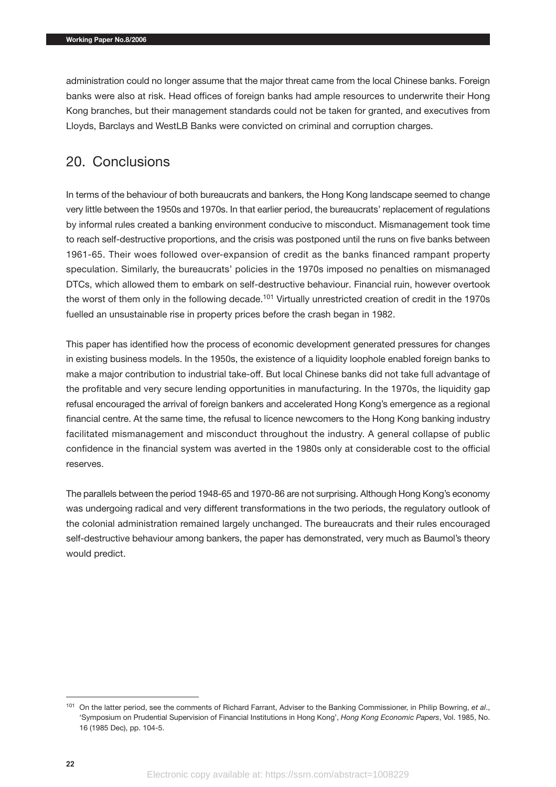administration could no longer assume that the major threat came from the local Chinese banks. Foreign banks were also at risk. Head offices of foreign banks had ample resources to underwrite their Hong Kong branches, but their management standards could not be taken for granted, and executives from Lloyds, Barclays and WestLB Banks were convicted on criminal and corruption charges.

#### 20. Conclusions

In terms of the behaviour of both bureaucrats and bankers, the Hong Kong landscape seemed to change very little between the 1950s and 1970s. In that earlier period, the bureaucrats' replacement of regulations by informal rules created a banking environment conducive to misconduct. Mismanagement took time to reach self-destructive proportions, and the crisis was postponed until the runs on five banks between 1961-65. Their woes followed over-expansion of credit as the banks financed rampant property speculation. Similarly, the bureaucrats' policies in the 1970s imposed no penalties on mismanaged DTCs, which allowed them to embark on self-destructive behaviour. Financial ruin, however overtook the worst of them only in the following decade.<sup>101</sup> Virtually unrestricted creation of credit in the 1970s fuelled an unsustainable rise in property prices before the crash began in 1982.

This paper has identified how the process of economic development generated pressures for changes in existing business models. In the 1950s, the existence of a liquidity loophole enabled foreign banks to make a major contribution to industrial take-off. But local Chinese banks did not take full advantage of the profitable and very secure lending opportunities in manufacturing. In the 1970s, the liquidity gap refusal encouraged the arrival of foreign bankers and accelerated Hong Kong's emergence as a regional financial centre. At the same time, the refusal to licence newcomers to the Hong Kong banking industry facilitated mismanagement and misconduct throughout the industry. A general collapse of public confidence in the financial system was averted in the 1980s only at considerable cost to the official reserves.

The parallels between the period 1948-65 and 1970-86 are not surprising. Although Hong Kong's economy was undergoing radical and very different transformations in the two periods, the regulatory outlook of the colonial administration remained largely unchanged. The bureaucrats and their rules encouraged self-destructive behaviour among bankers, the paper has demonstrated, very much as Baumol's theory would predict.

<sup>101</sup> On the latter period, see the comments of Richard Farrant, Adviser to the Banking Commissioner, in Philip Bowring, *et al*., 'Symposium on Prudential Supervision of Financial Institutions in Hong Kong', *Hong Kong Economic Papers*, Vol. 1985, No. 16 (1985 Dec), pp. 104-5.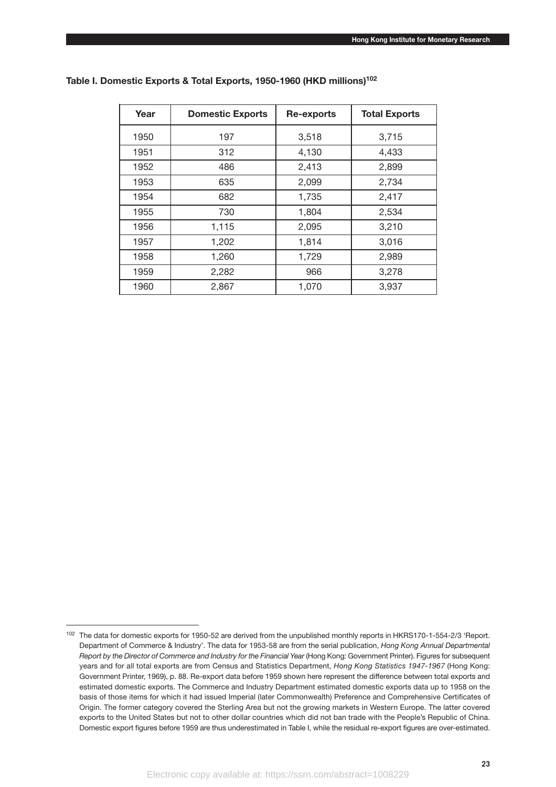| Year | <b>Domestic Exports</b> | Re-exports | <b>Total Exports</b> |  |
|------|-------------------------|------------|----------------------|--|
| 1950 | 197                     | 3,518      | 3,715                |  |
| 1951 | 312                     | 4,130      | 4,433                |  |
| 1952 | 486                     | 2,413      | 2,899                |  |
| 1953 | 635                     | 2,099      | 2,734                |  |
| 1954 | 682                     | 1,735      | 2,417                |  |
| 1955 | 730                     | 1,804      | 2,534                |  |
| 1956 | 1,115                   | 2,095      | 3,210                |  |
| 1957 | 1,202                   | 1,814      | 3,016                |  |
| 1958 | 1,260                   | 1,729      | 2,989                |  |
| 1959 | 2,282                   | 966        | 3,278                |  |
| 1960 | 2,867                   | 1,070      | 3,937                |  |

#### **Table I. Domestic Exports & Total Exports, 1950-1960 (HKD millions)102**

<sup>&</sup>lt;sup>102</sup> The data for domestic exports for 1950-52 are derived from the unpublished monthly reports in HKRS170-1-554-2/3 'Report. Department of Commerce & Industry'. The data for 1953-58 are from the serial publication, *Hong Kong Annual Departmental Report by the Director of Commerce and Industry for the Financial Year* (Hong Kong: Government Printer). Figures for subsequent years and for all total exports are from Census and Statistics Department, *Hong Kong Statistics 1947-1967* (Hong Kong: Government Printer, 1969), p. 88. Re-export data before 1959 shown here represent the difference between total exports and estimated domestic exports. The Commerce and Industry Department estimated domestic exports data up to 1958 on the basis of those items for which it had issued Imperial (later Commonwealth) Preference and Comprehensive Certificates of Origin. The former category covered the Sterling Area but not the growing markets in Western Europe. The latter covered exports to the United States but not to other dollar countries which did not ban trade with the People's Republic of China. Domestic export figures before 1959 are thus underestimated in Table I, while the residual re-export figures are over-estimated.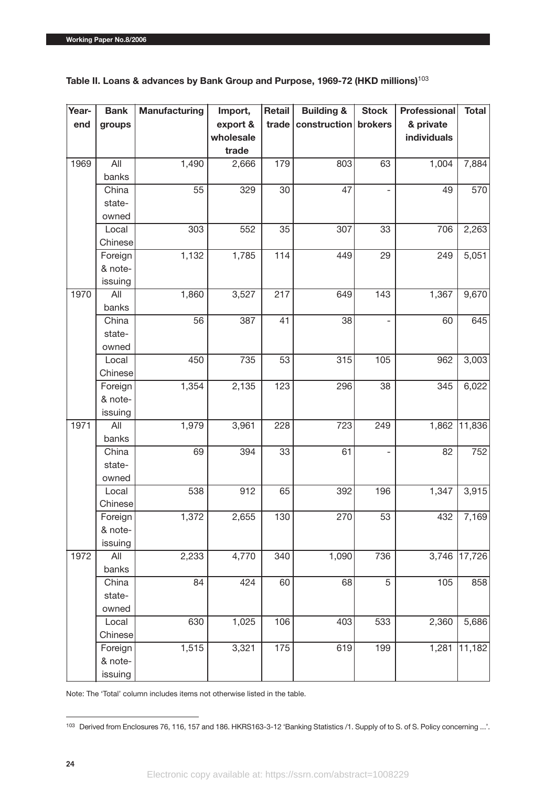| Year- | <b>Bank</b> | <b>Manufacturing</b> | Import,   | Retail           | <b>Building &amp;</b> | <b>Stock</b> | Professional | <b>Total</b>    |
|-------|-------------|----------------------|-----------|------------------|-----------------------|--------------|--------------|-----------------|
| end   | groups      |                      | export &  | trade            | construction          | brokers      | & private    |                 |
|       |             |                      | wholesale |                  |                       |              | individuals  |                 |
|       |             |                      | trade     |                  |                       |              |              |                 |
| 1969  | All         | 1,490                | 2,666     | 179              | 803                   | 63           | 1,004        | 7,884           |
|       | banks       |                      |           |                  |                       |              |              |                 |
|       | China       | 55                   | 329       | 30               | 47                    |              | 49           | 570             |
|       | state-      |                      |           |                  |                       |              |              |                 |
|       | owned       |                      |           |                  |                       |              |              |                 |
|       | Local       | 303                  | 552       | 35               | 307                   | 33           | 706          | 2,263           |
|       | Chinese     |                      |           |                  |                       |              |              |                 |
|       | Foreign     | 1,132                | 1,785     | 114              | 449                   | 29           | 249          | 5,051           |
|       | & note-     |                      |           |                  |                       |              |              |                 |
|       | issuing     |                      |           |                  |                       |              |              |                 |
| 1970  | All         | 1,860                | 3,527     | 217              | 649                   | 143          | 1,367        | 9,670           |
|       | banks       |                      |           |                  |                       |              |              |                 |
|       | China       | 56                   | 387       | 41               | 38                    |              | 60           | 645             |
|       | state-      |                      |           |                  |                       |              |              |                 |
|       | owned       |                      |           |                  |                       |              |              |                 |
|       | Local       | 450                  | 735       | 53               | 315                   | 105          | 962          | 3,003           |
|       | Chinese     |                      |           |                  |                       |              |              |                 |
|       | Foreign     | 1,354                | 2,135     | 123              | 296                   | 38           | 345          | 6,022           |
|       | & note-     |                      |           |                  |                       |              |              |                 |
|       | issuing     |                      |           |                  |                       |              |              |                 |
| 1971  | All         | 1,979                | 3,961     | 228              | 723                   | 249          | 1,862        | $\sqrt{11,836}$ |
|       | banks       |                      |           |                  |                       |              |              |                 |
|       | China       | 69                   | 394       | 33               | 61                    |              | 82           | 752             |
|       | state-      |                      |           |                  |                       |              |              |                 |
|       | owned       |                      |           |                  |                       |              |              |                 |
|       | Local       | 538                  | 912       | 65               | 392                   | 196          | 1,347        | 3,915           |
|       | Chinese     |                      |           |                  |                       |              |              |                 |
|       | Foreign     | 1,372                | 2,655     | $\overline{130}$ | 270                   | 53           | 432          | 7,169           |
|       | & note-     |                      |           |                  |                       |              |              |                 |
|       | issuing     |                      |           |                  |                       |              |              |                 |
| 1972  | All         | 2,233                | 4,770     | 340              | 1,090                 | 736          | 3,746        | 17,726          |
|       | banks       |                      |           |                  |                       |              |              |                 |
|       | China       | 84                   | 424       | 60               | 68                    | 5            | 105          | 858             |
|       | state-      |                      |           |                  |                       |              |              |                 |
|       | owned       |                      |           |                  |                       |              |              |                 |
|       | Local       | 630                  | 1,025     | 106              | 403                   | 533          | 2,360        | 5,686           |
|       | Chinese     |                      |           |                  |                       |              |              |                 |
|       | Foreign     | 1,515                | 3,321     | 175              | 619                   | 199          | 1,281        | 11,182          |
|       | & note-     |                      |           |                  |                       |              |              |                 |
|       | issuing     |                      |           |                  |                       |              |              |                 |

**Table II. Loans & advances by Bank Group and Purpose, 1969-72 (HKD millions)**<sup>103</sup>

Note: The 'Total' column includes items not otherwise listed in the table.

<sup>103</sup> Derived from Enclosures 76, 116, 157 and 186. HKRS163-3-12 'Banking Statistics /1. Supply of to S. of S. Policy concerning ...'.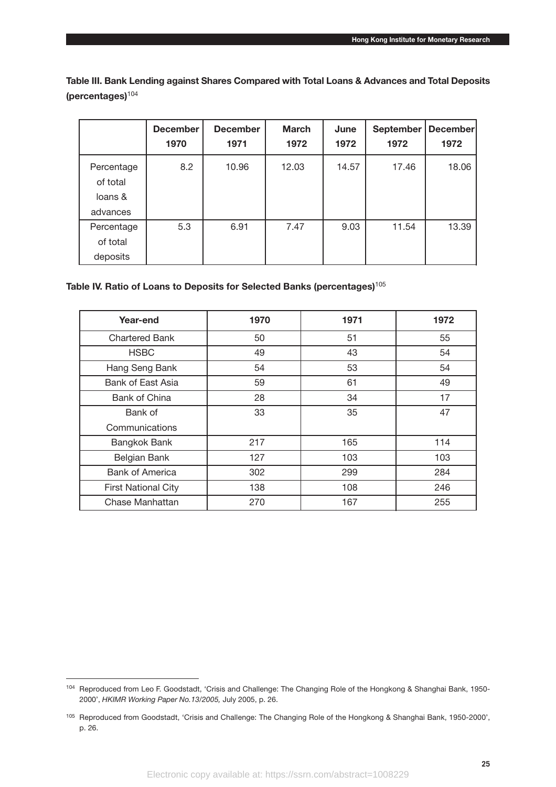**Table III. Bank Lending against Shares Compared with Total Loans & Advances and Total Deposits (percentages)**<sup>104</sup>

|                                               | <b>December</b><br>1970 | <b>December</b><br>1971 | <b>March</b><br>1972 | June<br>1972 | <b>September</b><br>1972 | <b>December</b><br>1972 |
|-----------------------------------------------|-------------------------|-------------------------|----------------------|--------------|--------------------------|-------------------------|
| Percentage<br>of total<br>loans &<br>advances | 8.2                     | 10.96                   | 12.03                | 14.57        | 17.46                    | 18.06                   |
| Percentage<br>of total<br>deposits            | 5.3                     | 6.91                    | 7.47                 | 9.03         | 11.54                    | 13.39                   |

#### **Table IV. Ratio of Loans to Deposits for Selected Banks (percentages)**<sup>105</sup>

| Year-end                   | 1970 | 1971 | 1972 |
|----------------------------|------|------|------|
| <b>Chartered Bank</b>      | 50   | 51   | 55   |
| <b>HSBC</b>                | 49   | 43   | 54   |
| Hang Seng Bank             | 54   | 53   | 54   |
| Bank of East Asia          | 59   | 61   | 49   |
| Bank of China              | 28   | 34   | 17   |
| Bank of                    | 33   | 35   | 47   |
| Communications             |      |      |      |
| Bangkok Bank               | 217  | 165  | 114  |
| Belgian Bank               | 127  | 103  | 103  |
| <b>Bank of America</b>     | 302  | 299  | 284  |
| <b>First National City</b> | 138  | 108  | 246  |
| Chase Manhattan            | 270  | 167  | 255  |

<sup>104</sup> Reproduced from Leo F. Goodstadt, 'Crisis and Challenge: The Changing Role of the Hongkong & Shanghai Bank, 1950- 2000', *HKIMR Working Paper No.13/2005,* July 2005, p. 26.

<sup>105</sup> Reproduced from Goodstadt, 'Crisis and Challenge: The Changing Role of the Hongkong & Shanghai Bank, 1950-2000', p. 26.